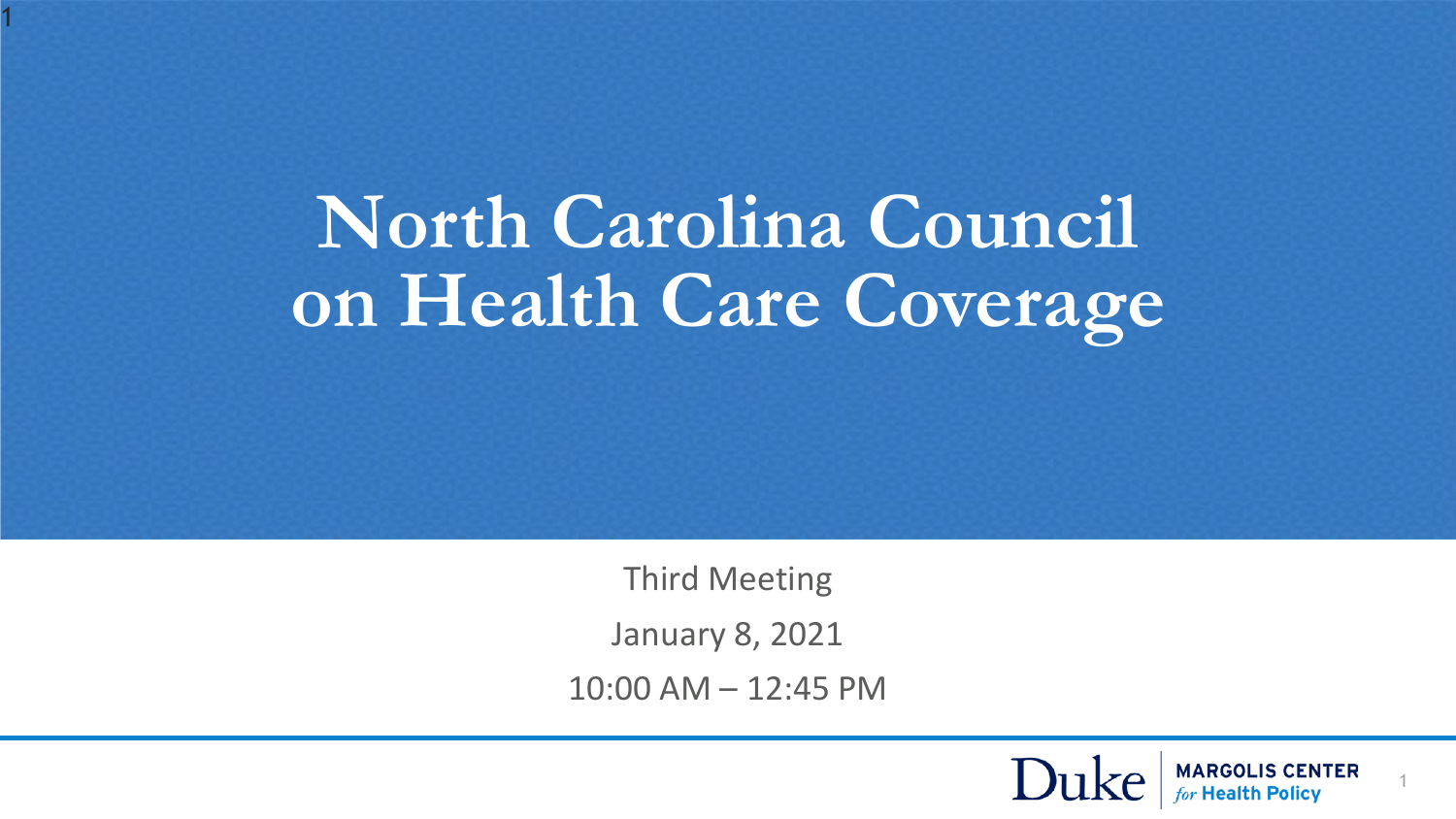# **North Carolina Council on Health Care Coverage**

1

Third Meeting

January 8, 2021

10:00 AM – 12:45 PM



1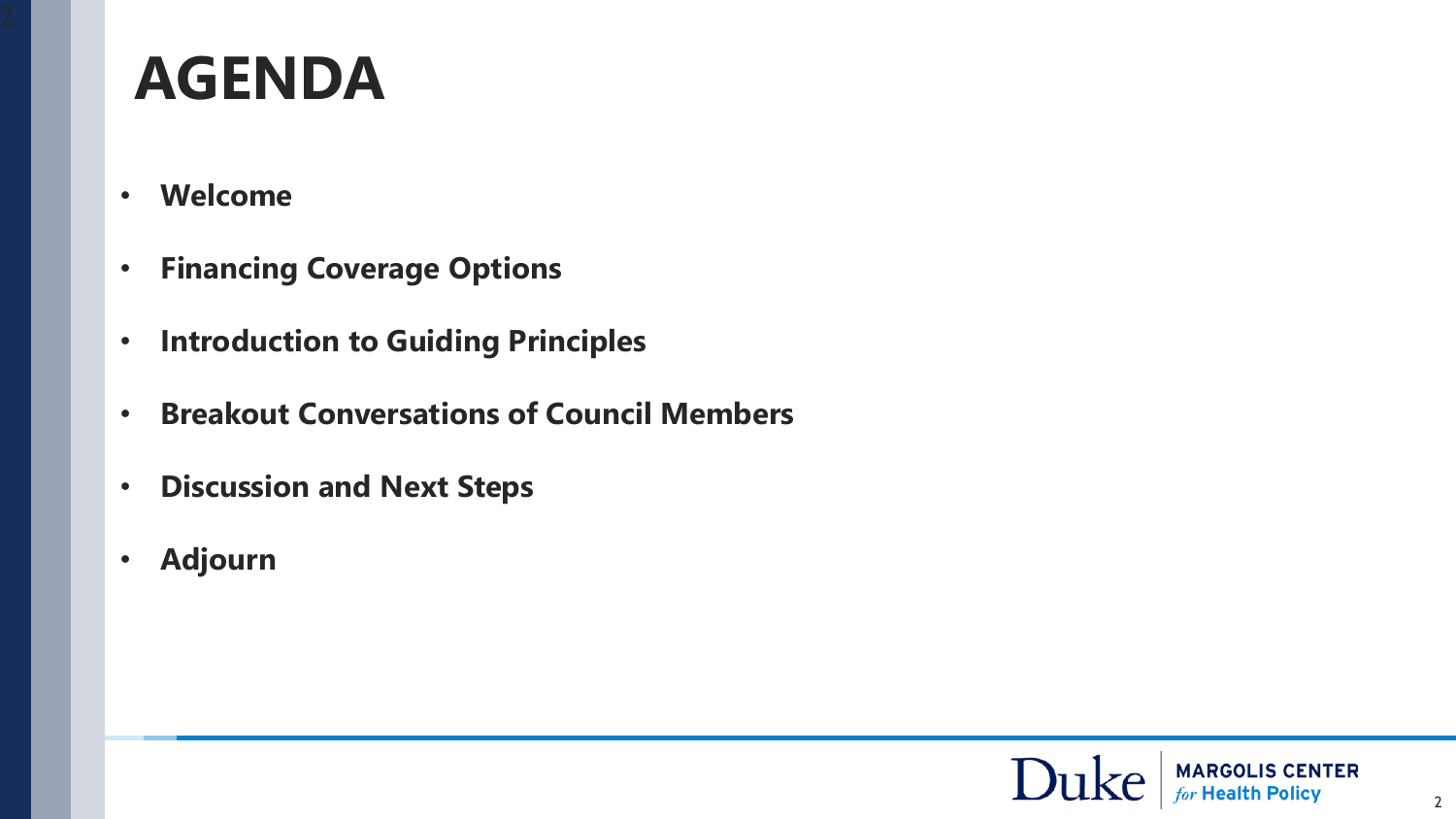# **AGENDA**

- **Welcome**
- **Financing Coverage Options**
- **Introduction to Guiding Principles**
- **Breakout Conversations of Council Members**
- **Discussion and Next Steps**
- **Adjourn**

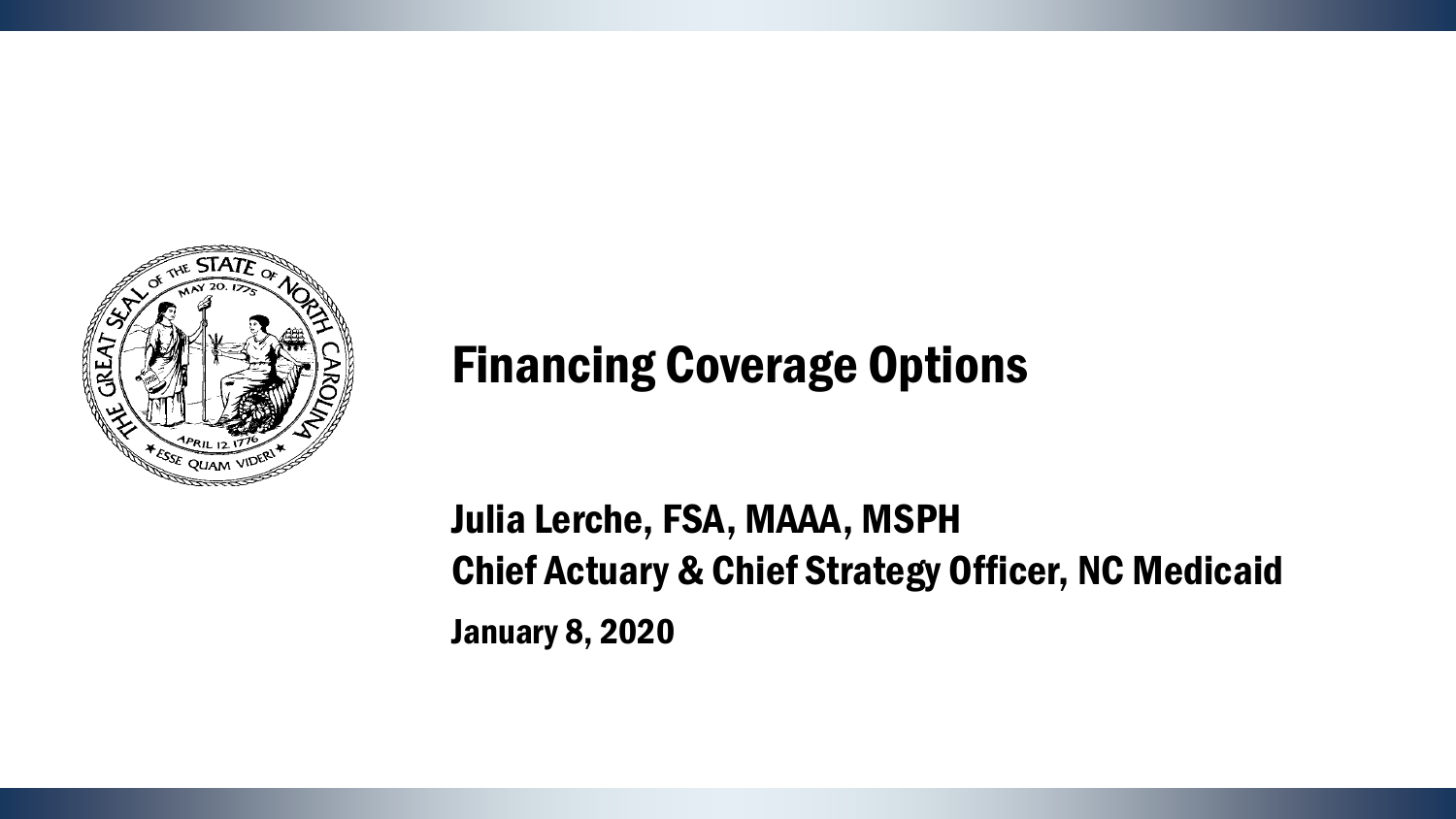

# Financing Coverage Options

Julia Lerche, FSA, MAAA, MSPH Chief Actuary & Chief Strategy Officer, NC Medicaid January 8, 2020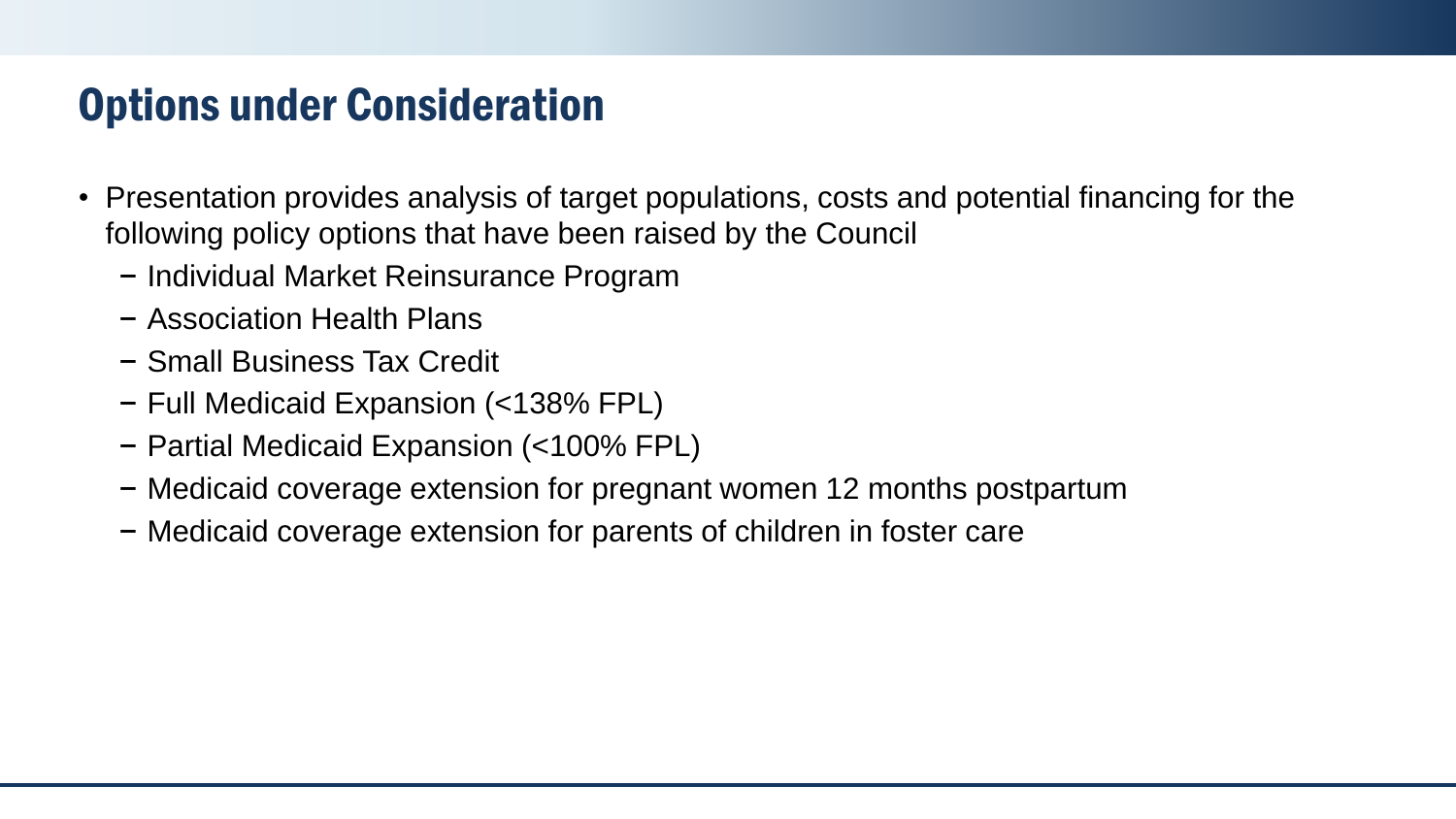#### Options under Consideration

- Presentation provides analysis of target populations, costs and potential financing for the following policy options that have been raised by the Council
	- − Individual Market Reinsurance Program
	- − Association Health Plans
	- − Small Business Tax Credit
	- − Full Medicaid Expansion (<138% FPL)
	- − Partial Medicaid Expansion (<100% FPL)
	- − Medicaid coverage extension for pregnant women 12 months postpartum
	- − Medicaid coverage extension for parents of children in foster care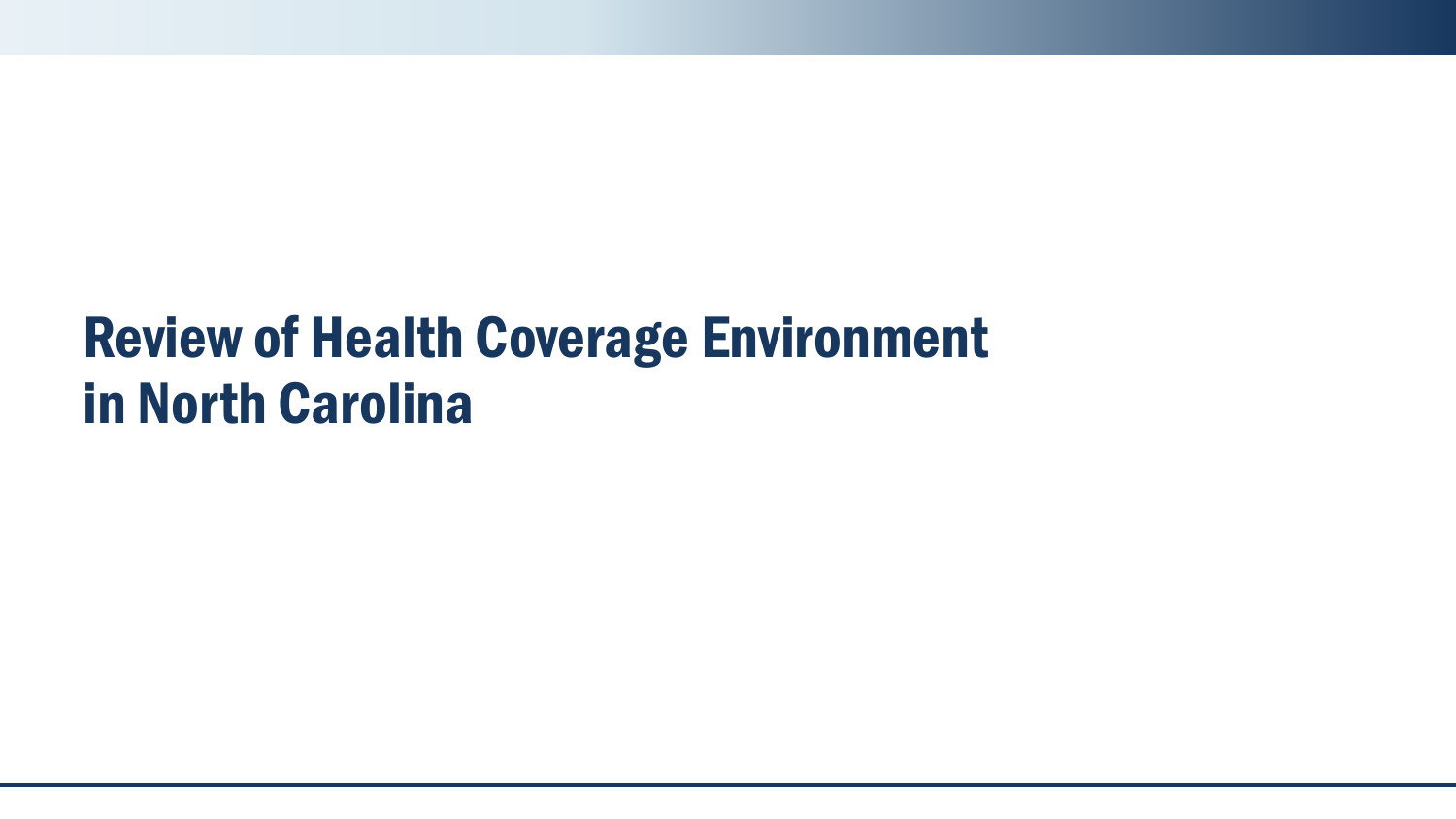# Review of Health Coverage Environment in North Carolina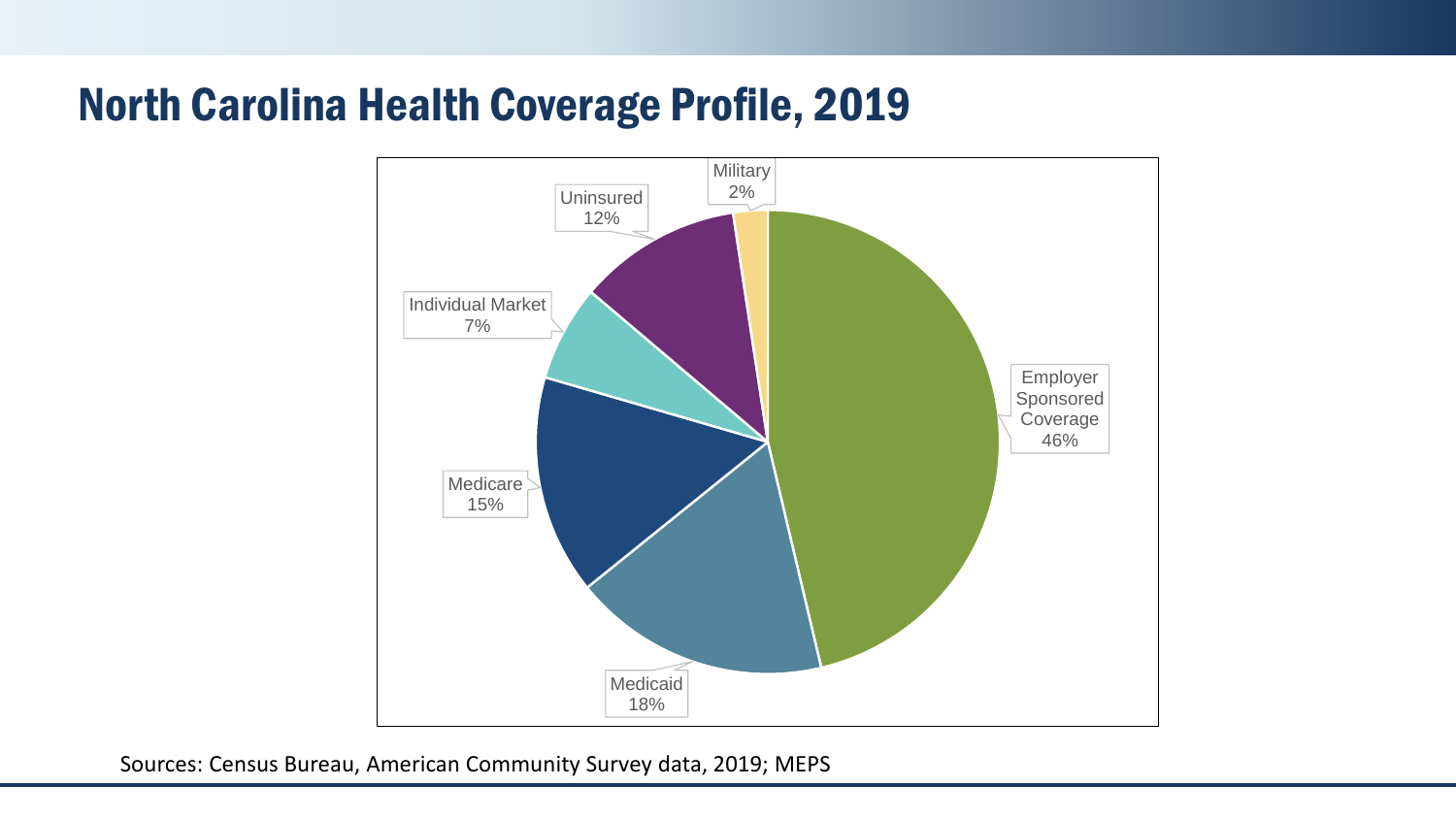#### North Carolina Health Coverage Profile, 2019



Sources: Census Bureau, American Community Survey data, 2019; MEPS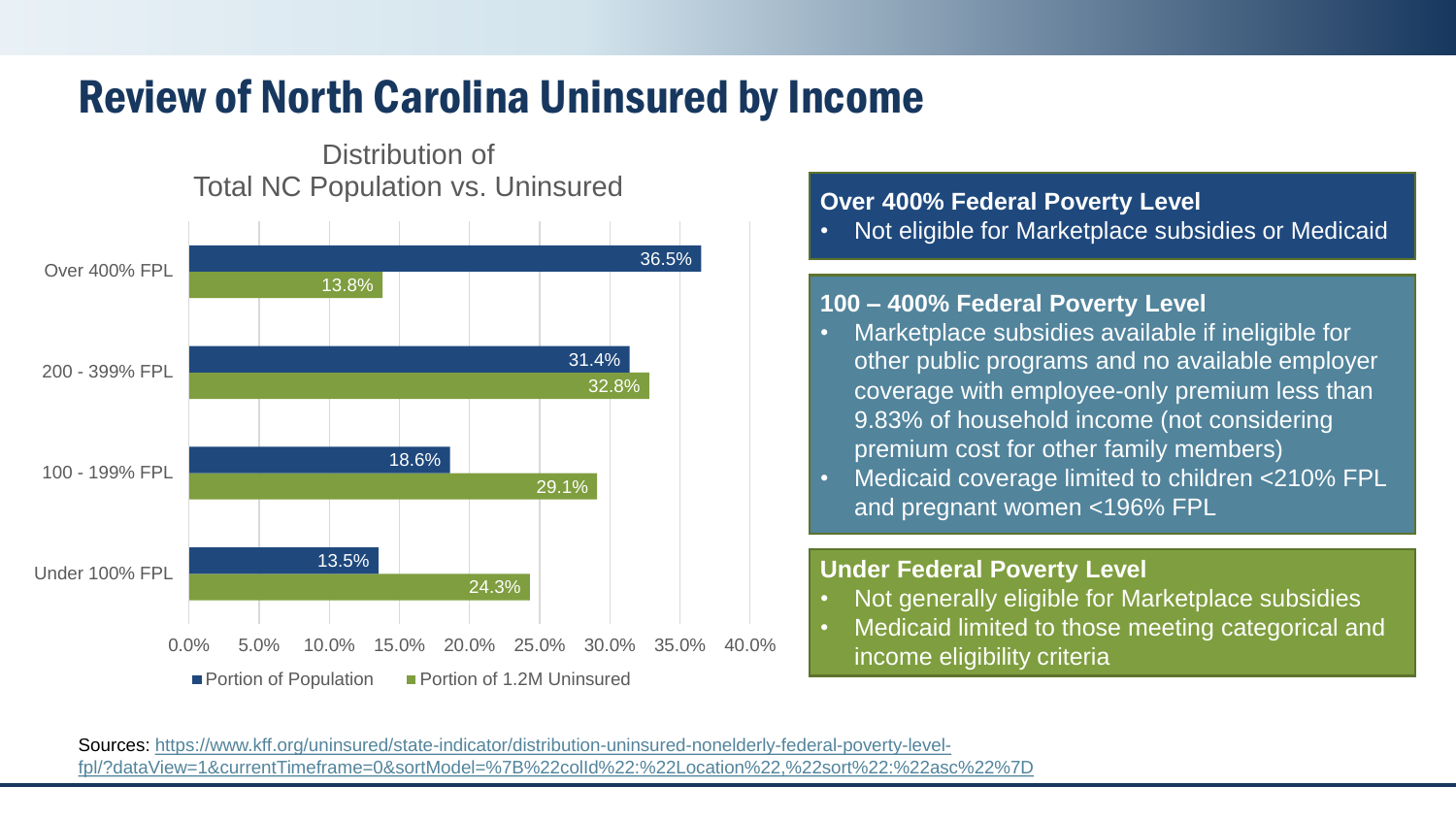### Review of North Carolina Uninsured by Income

#### 24.3% 29.1% 32.8% 13.8% 13.5% 18.6% 31.4% 36.5% 0.0% 5.0% 10.0% 15.0% 20.0% 25.0% 30.0% 35.0% 40.0% Under 100% FPL 100 - 199% FPL 200 - 399% FPL Over 400% FPL Distribution of Total NC Population vs. Uninsured **Portion of Population** Portion of 1.2M Uninsured

#### **Over 400% Federal Poverty Level**

• Not eligible for Marketplace subsidies or Medicaid

#### **100 – 400% Federal Poverty Level**

- Marketplace subsidies available if ineligible for other public programs and no available employer coverage with employee-only premium less than 9.83% of household income (not considering premium cost for other family members)
- Medicaid coverage limited to children <210% FPL and pregnant women <196% FPL

#### **Under Federal Poverty Level**

- Not generally eligible for Marketplace subsidies
- Medicaid limited to those meeting categorical and income eligibility criteria

Sources: https://www.kff.org/uninsured/state-indicator/distribution-uninsured-nonelderly-federal-poverty-levelfpl/?dataView=1&currentTimeframe=0&sortModel=%7B%22colId%22:%22Location%22.%22sort%22:%22asc%22%7D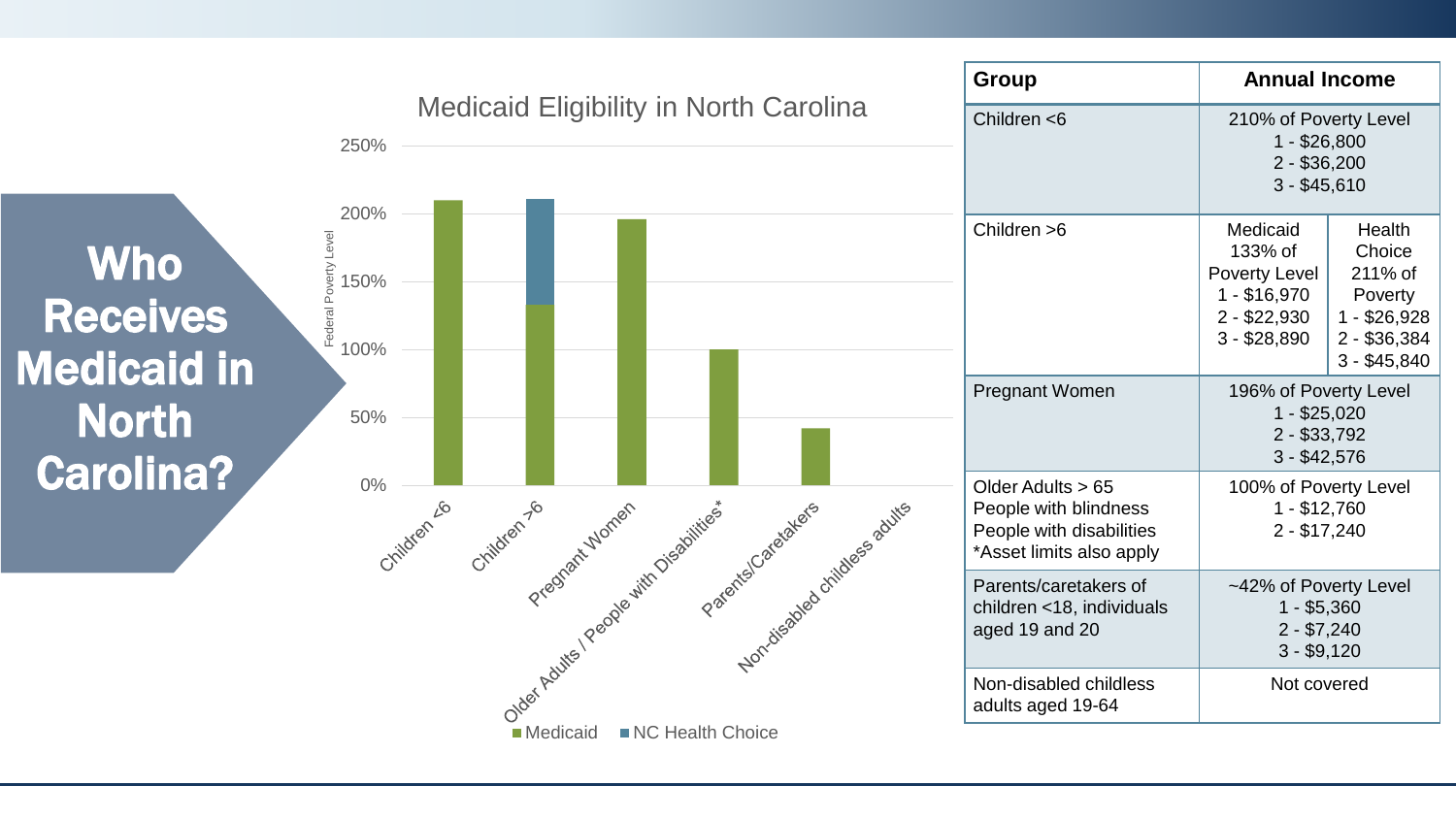



1 - \$26,800 2 - \$36,200 3 - \$45,610

1 - \$25,020 2 - \$33,792 3 - \$42,576

100% of Poverty Level 1 - \$12,760 2 - \$17,240

~42% of Poverty Level 1 - \$5,360 2 - \$7,240 3 - \$9,120

Not covered

**Health Choice** 211% of Poverty 1 - \$26,928 2 - \$36,384 3 - \$45,840

133% of Poverty Level 1 - \$16,970 2 - \$22,930 3 - \$28,890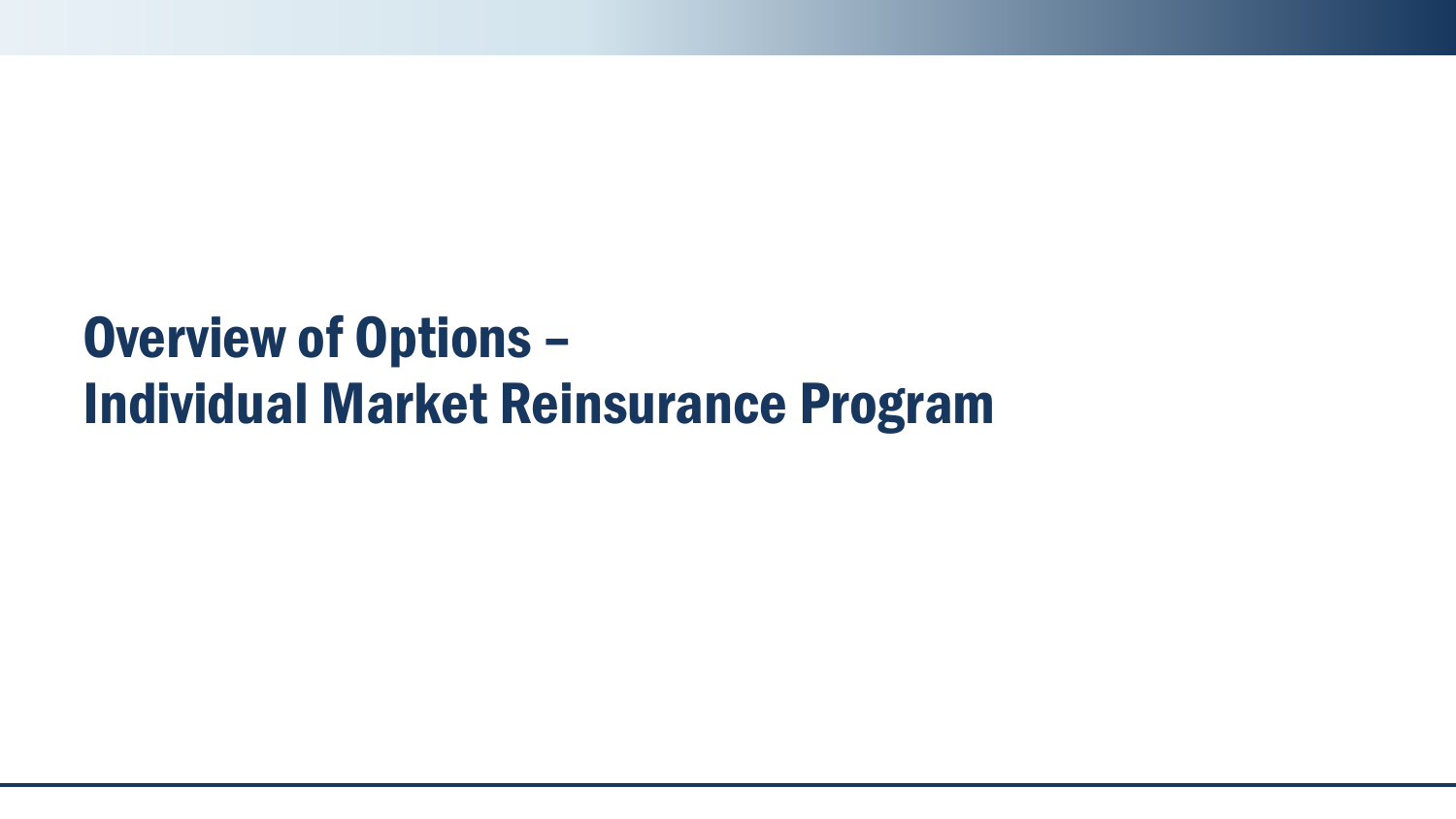# Overview of Options – Individual Market Reinsurance Program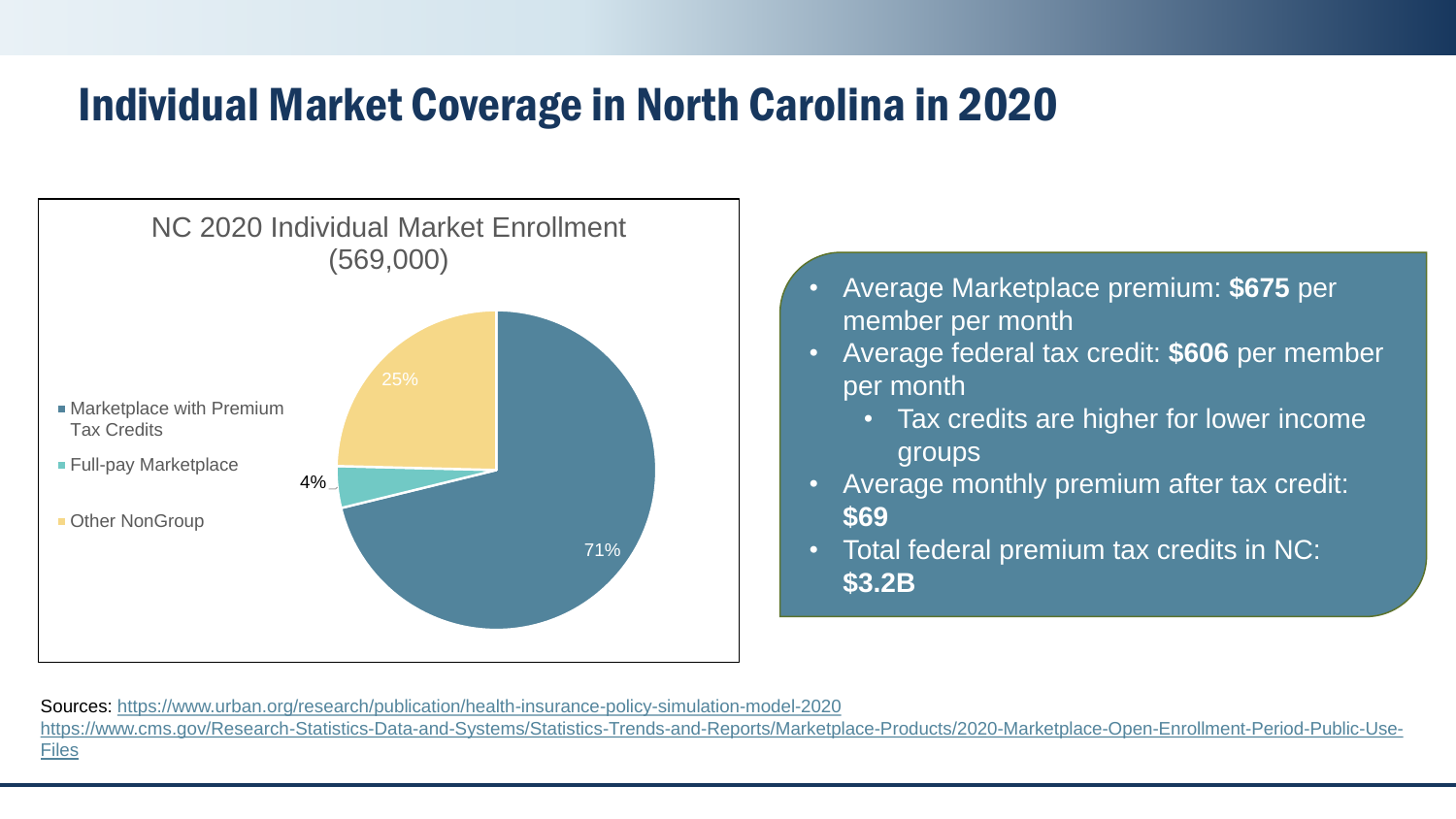#### Individual Market Coverage in North Carolina in 2020



- Average Marketplace premium: **\$675** per member per month
- Average federal tax credit: **\$606** per member per month
	- Tax credits are higher for lower income groups
- Average monthly premium after tax credit: **\$69**
- Total federal premium tax credits in NC: **\$3.2B**

Sources:<https://www.urban.org/research/publication/health-insurance-policy-simulation-model-2020> [https://www.cms.gov/Research-Statistics-Data-and-Systems/Statistics-Trends-and-Reports/Marketplace-Products/2020-Marketplace-Open-Enrollment-Period-Public-Use-](https://www.cms.gov/Research-Statistics-Data-and-Systems/Statistics-Trends-and-Reports/Marketplace-Products/2020-Marketplace-Open-Enrollment-Period-Public-Use-Files)Files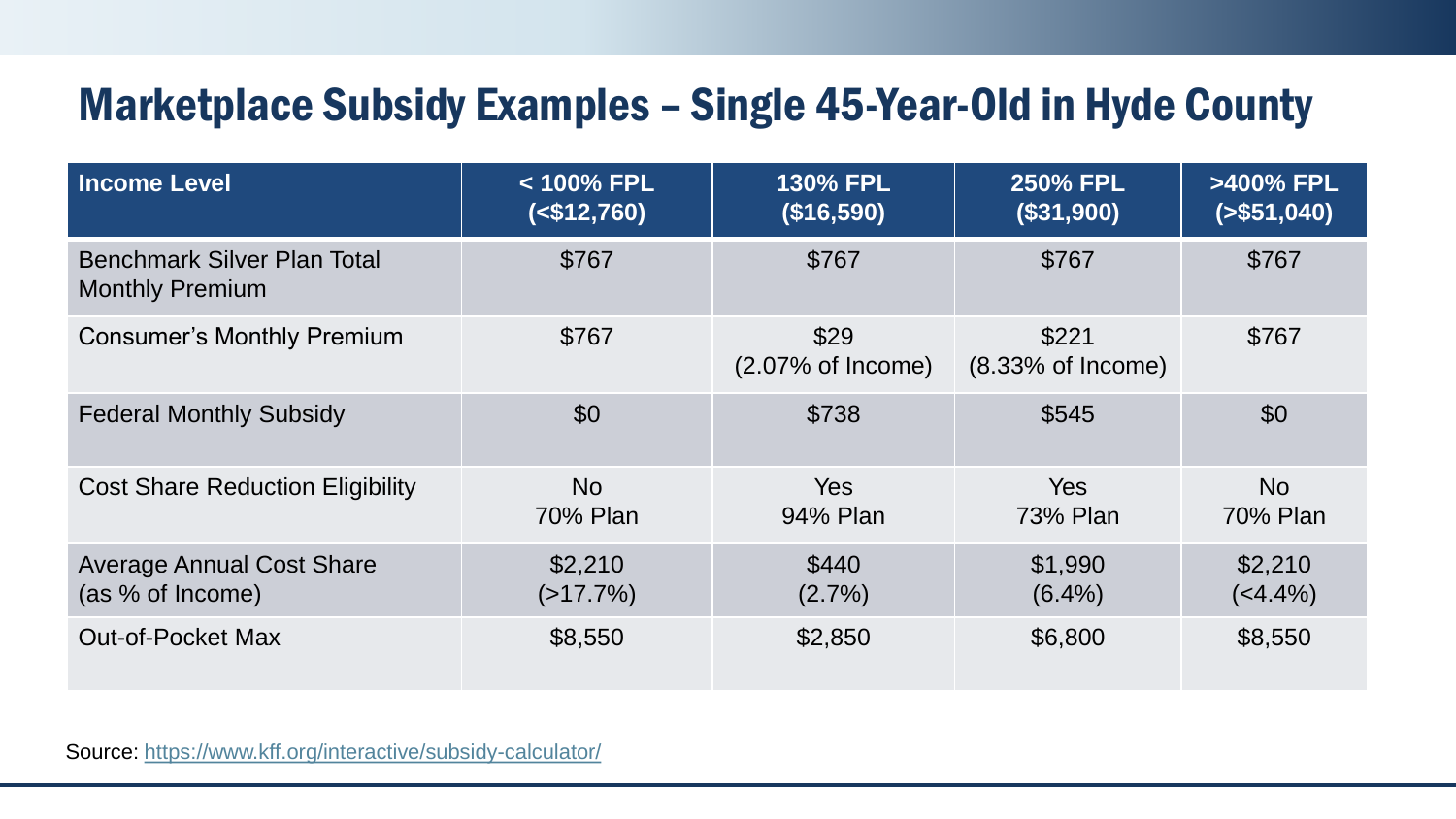### Marketplace Subsidy Examples – Single 45-Year-Old in Hyde County

| <b>Income Level</b>                                          | < 100% FPL<br>$($12,760)$ | <b>130% FPL</b><br>(\$16,590)        | <b>250% FPL</b><br>(\$31,900) | >400% FPL<br>( > \$51,040) |
|--------------------------------------------------------------|---------------------------|--------------------------------------|-------------------------------|----------------------------|
| <b>Benchmark Silver Plan Total</b><br><b>Monthly Premium</b> | \$767                     | \$767                                | \$767                         | \$767                      |
| <b>Consumer's Monthly Premium</b>                            | \$767                     | \$29<br>$(2.07\% \text{ of Income})$ |                               | \$767                      |
| <b>Federal Monthly Subsidy</b>                               | \$0                       | \$738                                | \$545                         | \$0                        |
| <b>Cost Share Reduction Eligibility</b>                      | <b>No</b><br>70% Plan     | Yes<br>94% Plan                      | <b>Yes</b><br>73% Plan        | <b>No</b><br>70% Plan      |
| <b>Average Annual Cost Share</b><br>(as % of Income)         | \$2,210<br>$(>17.7\%)$    | \$440<br>$(2.7\%)$                   | \$1,990<br>$(6.4\%)$          | \$2,210<br>$(4.4\%)$       |
| <b>Out-of-Pocket Max</b>                                     | \$8,550                   | \$2,850                              | \$6,800                       | \$8,550                    |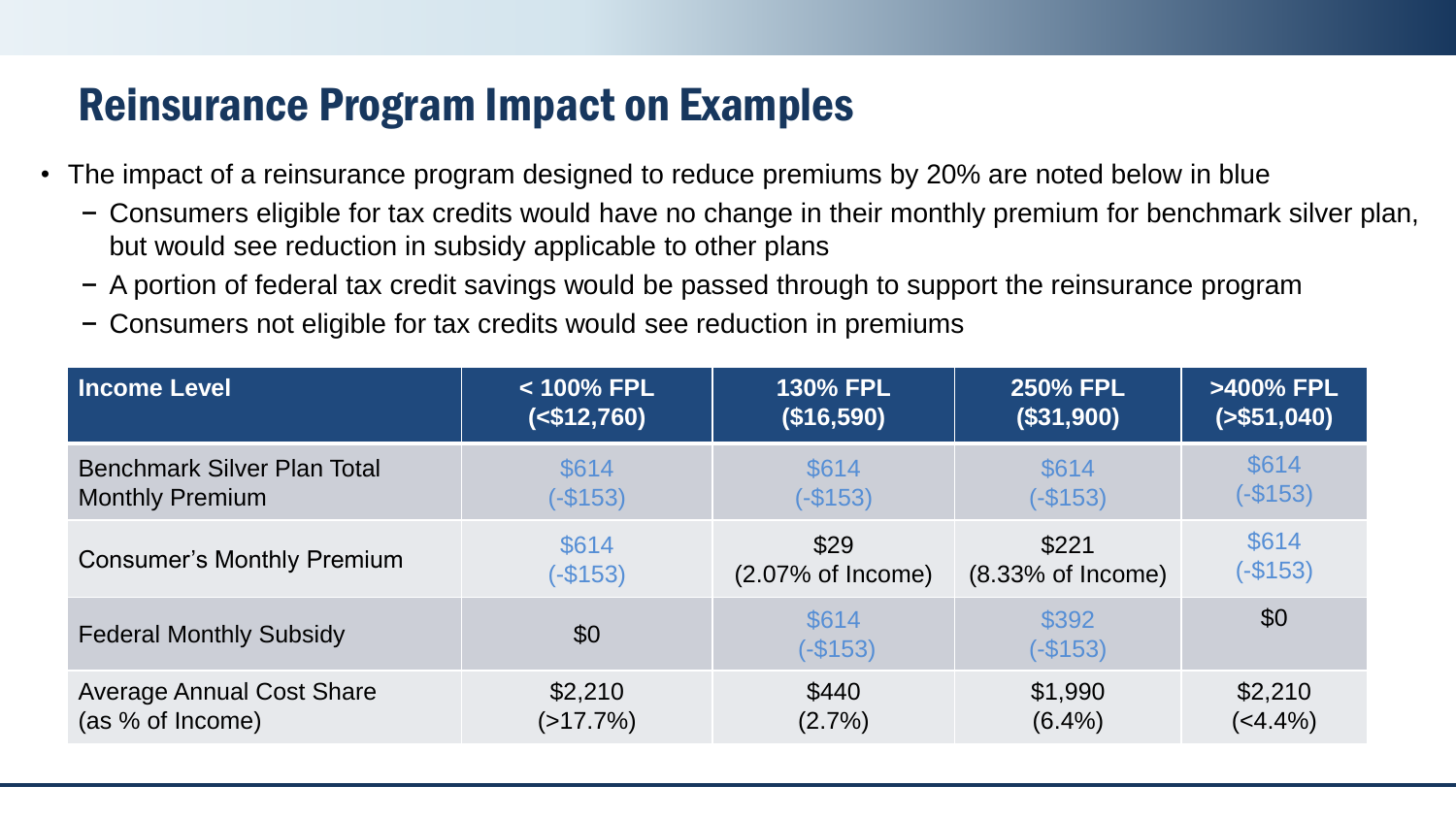#### Reinsurance Program Impact on Examples

- The impact of a reinsurance program designed to reduce premiums by 20% are noted below in blue
	- − Consumers eligible for tax credits would have no change in their monthly premium for benchmark silver plan, but would see reduction in subsidy applicable to other plans
	- − A portion of federal tax credit savings would be passed through to support the reinsurance program
	- − Consumers not eligible for tax credits would see reduction in premiums

| <b>Income Level</b>                | < 100% FPL  | <b>130% FPL</b>              | <b>250% FPL</b>    | >400% FPL     |
|------------------------------------|-------------|------------------------------|--------------------|---------------|
|                                    | $($12,760)$ | (\$16,590)                   | (\$31,900)         | ( > \$51,040) |
| <b>Benchmark Silver Plan Total</b> | \$614       | \$614                        | \$614              | \$614         |
| <b>Monthly Premium</b>             | $(-$153)$   | $(-$153)$                    | $(-$153)$          | $(-$153)$     |
| <b>Consumer's Monthly Premium</b>  | \$614       | \$29                         | \$221              | \$614         |
|                                    | $(-$153)$   | $(2.07\% \text{ of Income})$ | (8.33% of Income)  | $(-$153)$     |
| <b>Federal Monthly Subsidy</b>     | \$0         | \$614<br>$(-$153)$           | \$392<br>$(-$153)$ | \$0           |
| <b>Average Annual Cost Share</b>   | \$2,210     | \$440                        | \$1,990            | \$2,210       |
| (as % of Income)                   | $(>17.7\%)$ | $(2.7\%)$                    | $(6.4\%)$          | $(4.4\%)$     |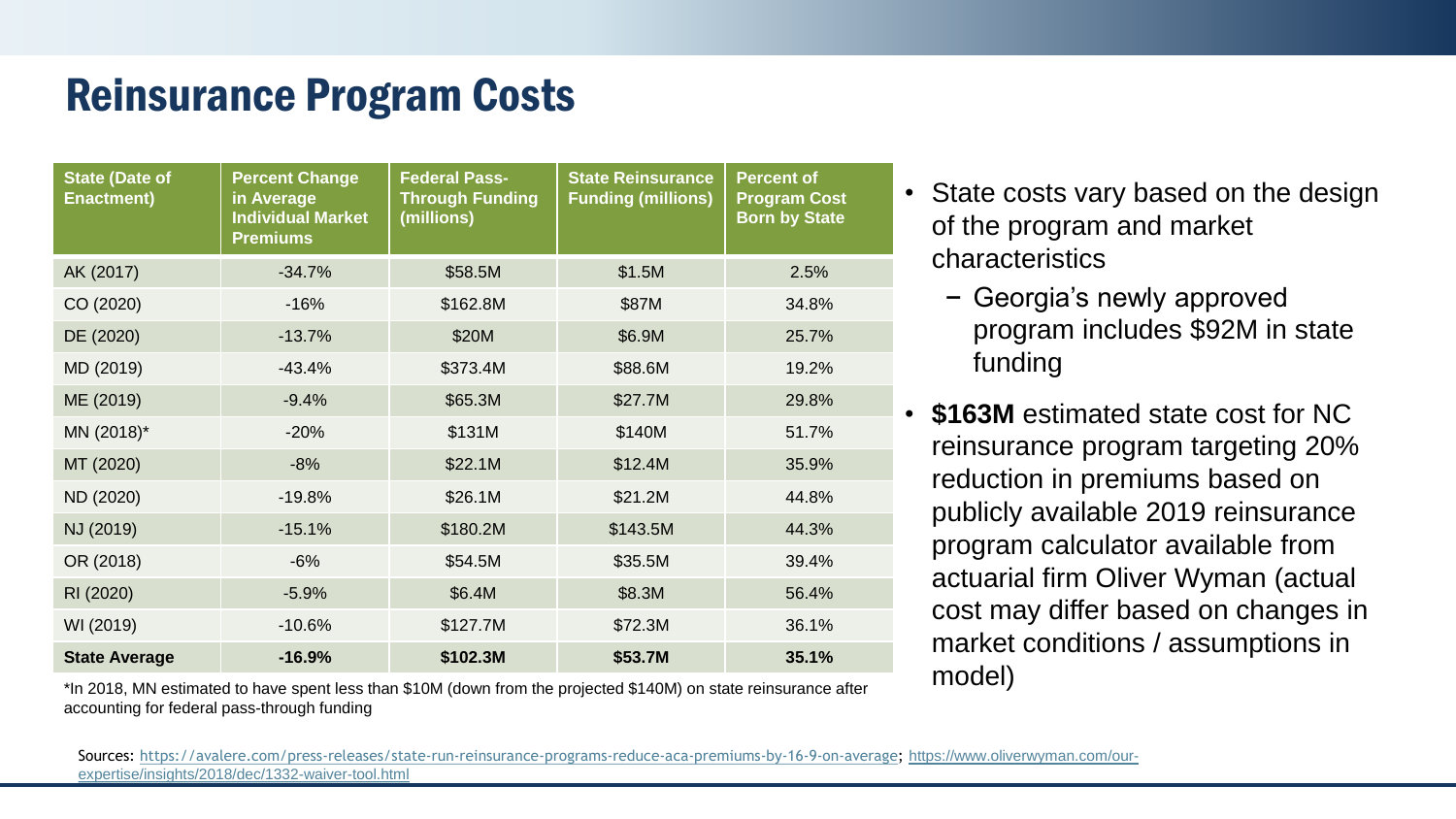#### Reinsurance Program Costs

| <b>State (Date of</b><br><b>Enactment)</b> | <b>Percent Change</b><br>in Average<br><b>Individual Market</b><br><b>Premiums</b> | <b>Federal Pass-</b><br><b>Through Funding</b><br>(millions) | <b>State Reinsurance</b><br><b>Funding (millions)</b> | <b>Percent of</b><br><b>Program Cost</b><br><b>Born by State</b> |
|--------------------------------------------|------------------------------------------------------------------------------------|--------------------------------------------------------------|-------------------------------------------------------|------------------------------------------------------------------|
| AK (2017)                                  | $-34.7%$                                                                           | \$58.5M                                                      | \$1.5M                                                | 2.5%                                                             |
| CO (2020)                                  | $-16%$                                                                             | \$162.8M                                                     | \$87M                                                 | 34.8%                                                            |
| DE (2020)                                  | $-13.7%$                                                                           | \$20M                                                        | \$6.9M                                                | 25.7%                                                            |
| MD (2019)                                  | $-43.4%$                                                                           | \$373.4M                                                     | \$88.6M                                               | 19.2%                                                            |
| ME (2019)                                  | $-9.4%$                                                                            | \$65.3M                                                      | \$27.7M                                               | 29.8%                                                            |
| MN (2018)*                                 | $-20%$                                                                             | \$131M                                                       | \$140M                                                | 51.7%                                                            |
| MT (2020)                                  | $-8%$                                                                              | \$22.1M                                                      | \$12.4M                                               | 35.9%                                                            |
| ND (2020)                                  | $-19.8%$                                                                           | \$26.1M                                                      | \$21.2M                                               | 44.8%                                                            |
| NJ (2019)                                  | $-15.1%$                                                                           | \$180.2M                                                     | \$143.5M                                              | 44.3%                                                            |
| OR (2018)                                  | $-6%$                                                                              | \$54.5M                                                      | \$35.5M                                               | 39.4%                                                            |
| RI (2020)                                  | $-5.9%$                                                                            | \$6.4M                                                       | \$8.3M                                                | 56.4%                                                            |
| WI (2019)                                  | $-10.6%$                                                                           | \$127.7M                                                     | \$72.3M                                               | 36.1%                                                            |
| <b>State Average</b>                       | $-16.9%$                                                                           | \$102.3M                                                     | \$53.7M                                               | 35.1%                                                            |

\*In 2018, MN estimated to have spent less than \$10M (down from the projected \$140M) on state reinsurance after accounting for federal pass-through funding

- State costs vary based on the design of the program and market characteristics
	- − Georgia's newly approved program includes \$92M in state funding
- **\$163M** estimated state cost for NC reinsurance program targeting 20% reduction in premiums based on publicly available 2019 reinsurance program calculator available from actuarial firm Oliver Wyman (actual cost may differ based on changes in market conditions / assumptions in model)

[Sources: https://avalere.com/press-releases/state-run-reinsurance-programs-reduce-aca-premiums-by-16-9-on-average;](https://www.oliverwyman.com/our-expertise/insights/2018/dec/1332-waiver-tool.html) https://www.oliverwyman.com/ourexpertise/insights/2018/dec/1332-waiver-tool.html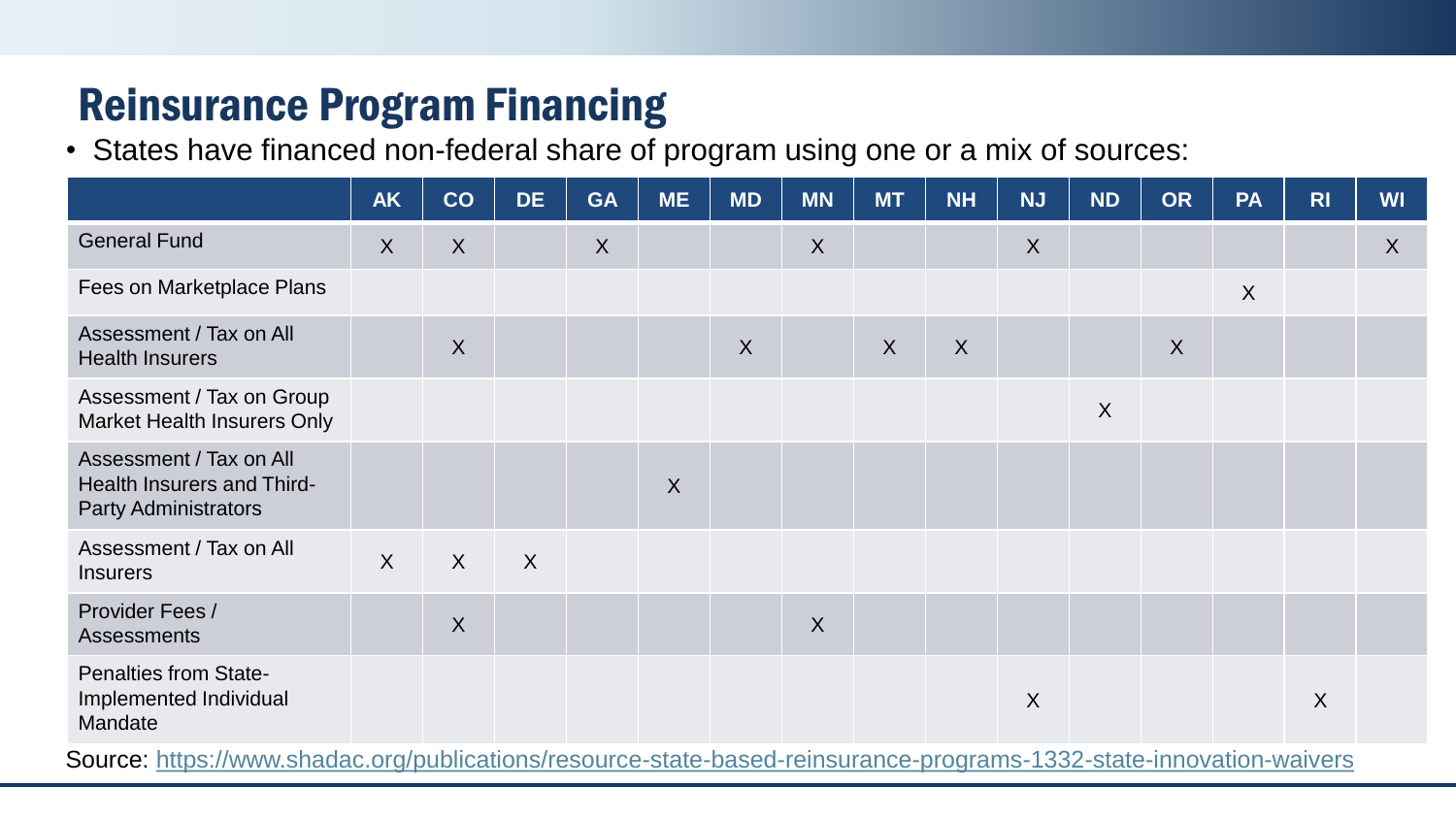### Reinsurance Program Financing

• States have financed non-federal share of program using one or a mix of sources:

|                                                                                           | <b>AK</b> | CO               | <b>DE</b> | <b>GA</b> | <b>ME</b> | <b>MD</b> | <b>MN</b> | <b>MT</b> | <b>NH</b>        | <b>NJ</b>        | <b>ND</b>        | <b>OR</b> | <b>PA</b> | R <sub>1</sub> | <b>WI</b> |
|-------------------------------------------------------------------------------------------|-----------|------------------|-----------|-----------|-----------|-----------|-----------|-----------|------------------|------------------|------------------|-----------|-----------|----------------|-----------|
| <b>General Fund</b>                                                                       | $\sf X$   | X                |           | X         |           |           | X         |           |                  | $\boldsymbol{X}$ |                  |           |           |                | $\sf X$   |
| Fees on Marketplace Plans                                                                 |           |                  |           |           |           |           |           |           |                  |                  |                  |           | X         |                |           |
| Assessment / Tax on All<br><b>Health Insurers</b>                                         |           | $\sf X$          |           |           |           | X         |           | X         | $\boldsymbol{X}$ |                  |                  | $\sf X$   |           |                |           |
| Assessment / Tax on Group<br>Market Health Insurers Only                                  |           |                  |           |           |           |           |           |           |                  |                  | $\boldsymbol{X}$ |           |           |                |           |
| Assessment / Tax on All<br>Health Insurers and Third-<br><b>Party Administrators</b>      |           |                  |           |           | $\sf X$   |           |           |           |                  |                  |                  |           |           |                |           |
| Assessment / Tax on All<br><b>Insurers</b>                                                | $\sf X$   | X                | $\sf X$   |           |           |           |           |           |                  |                  |                  |           |           |                |           |
| Provider Fees /<br><b>Assessments</b>                                                     |           | $\boldsymbol{X}$ |           |           |           |           | $\sf X$   |           |                  |                  |                  |           |           |                |           |
| <b>Penalties from State-</b><br>Implemented Individual<br>Mandate<br>$\sim$ $\sim$ $\sim$ |           |                  |           |           |           |           |           |           |                  | $\boldsymbol{X}$ |                  |           |           | X              |           |

Source: <https://www.shadac.org/publications/resource-state-based-reinsurance-programs-1332-state-innovation-waivers>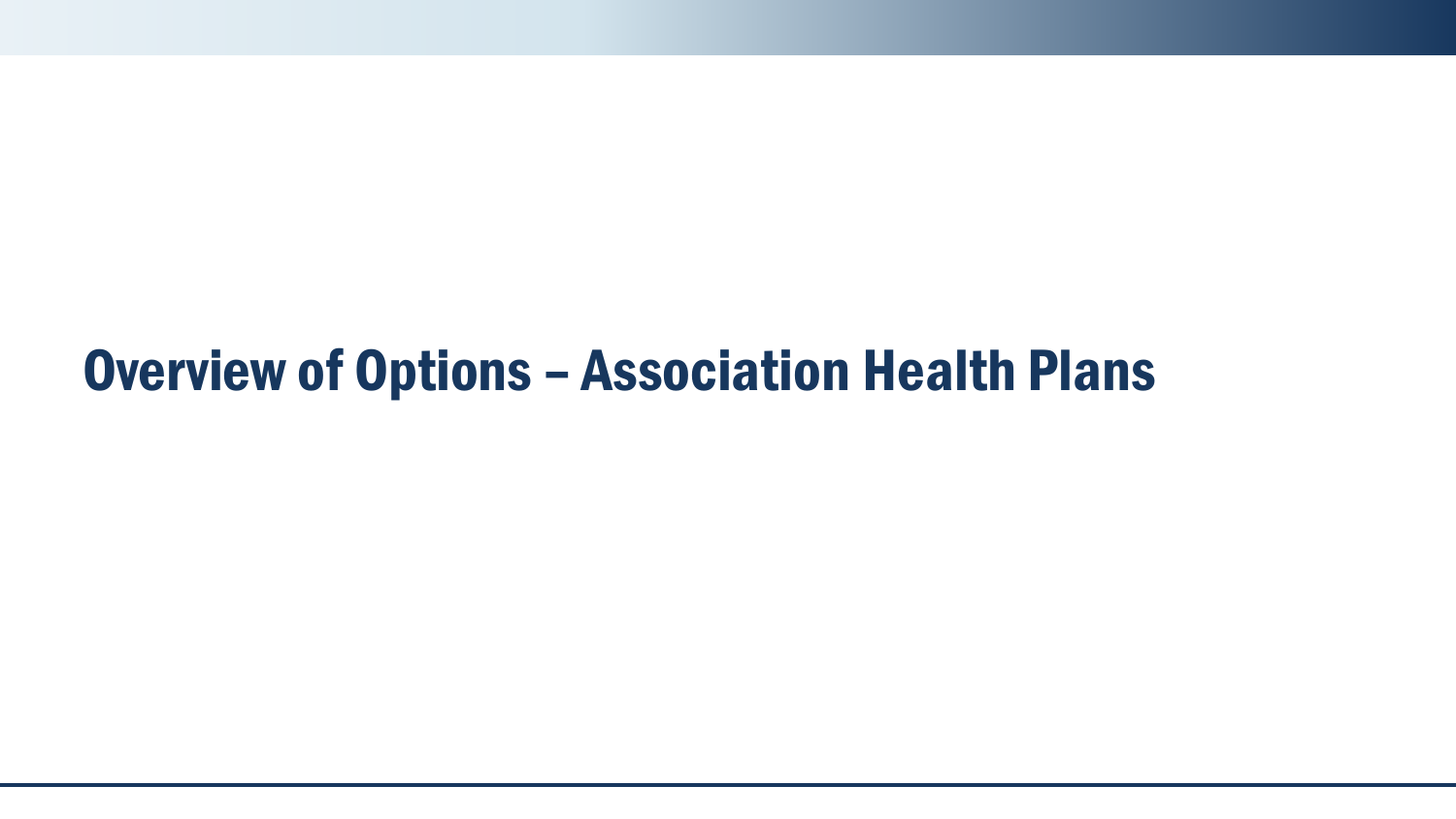### Overview of Options – Association Health Plans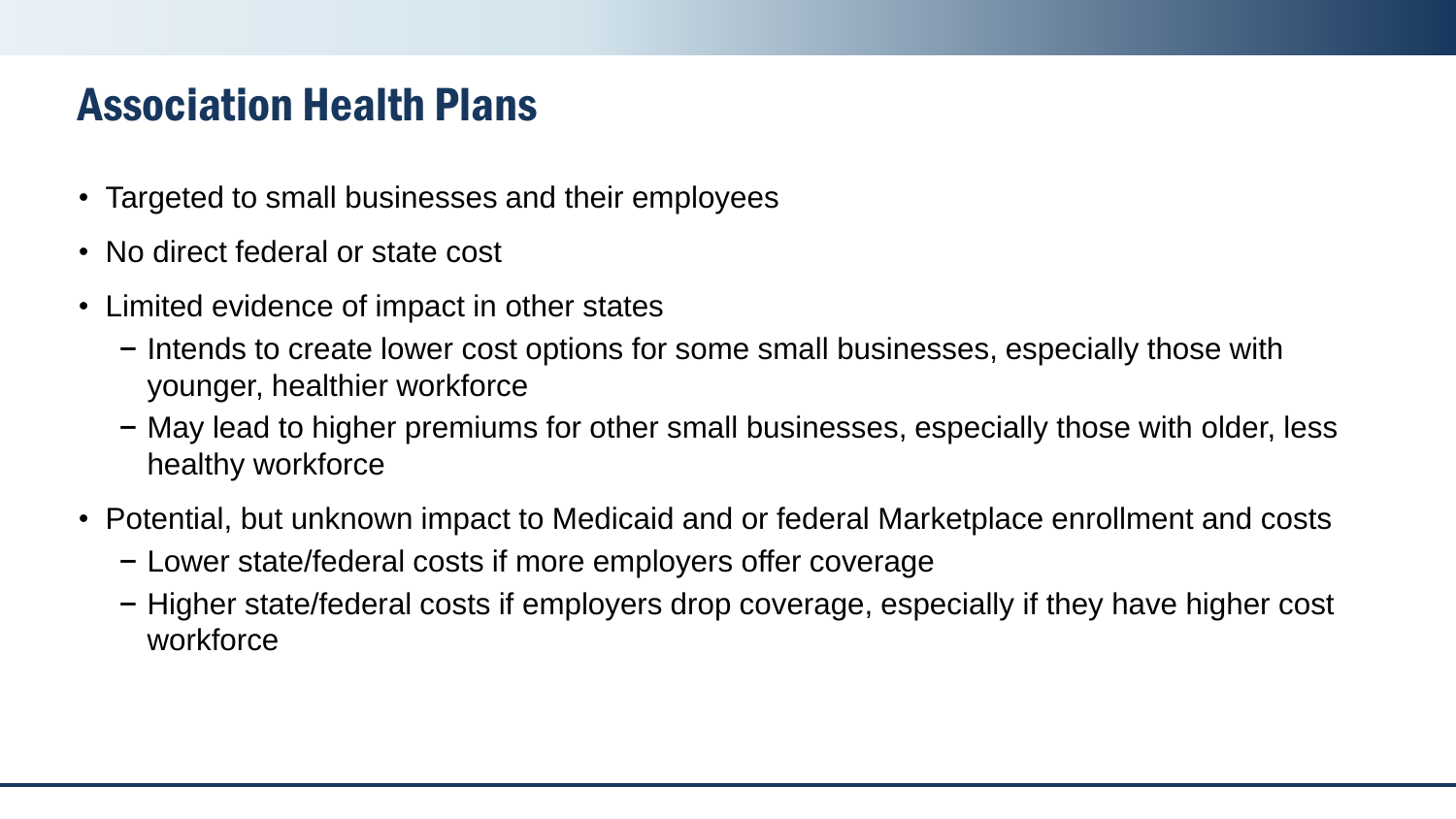#### Association Health Plans

- Targeted to small businesses and their employees
- No direct federal or state cost
- Limited evidence of impact in other states
	- − Intends to create lower cost options for some small businesses, especially those with younger, healthier workforce
	- − May lead to higher premiums for other small businesses, especially those with older, less healthy workforce
- Potential, but unknown impact to Medicaid and or federal Marketplace enrollment and costs
	- − Lower state/federal costs if more employers offer coverage
	- − Higher state/federal costs if employers drop coverage, especially if they have higher cost workforce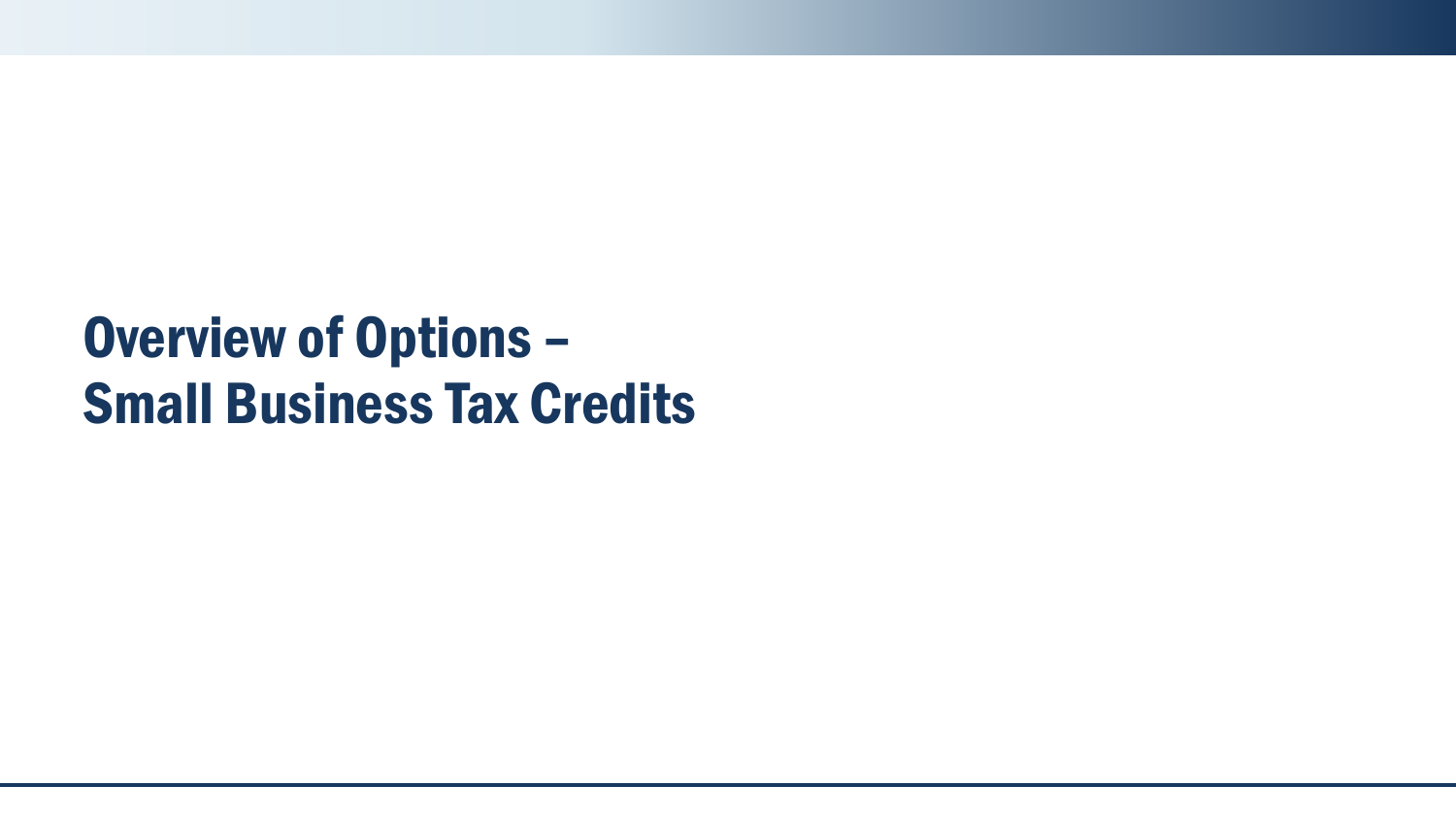# Overview of Options – Small Business Tax Credits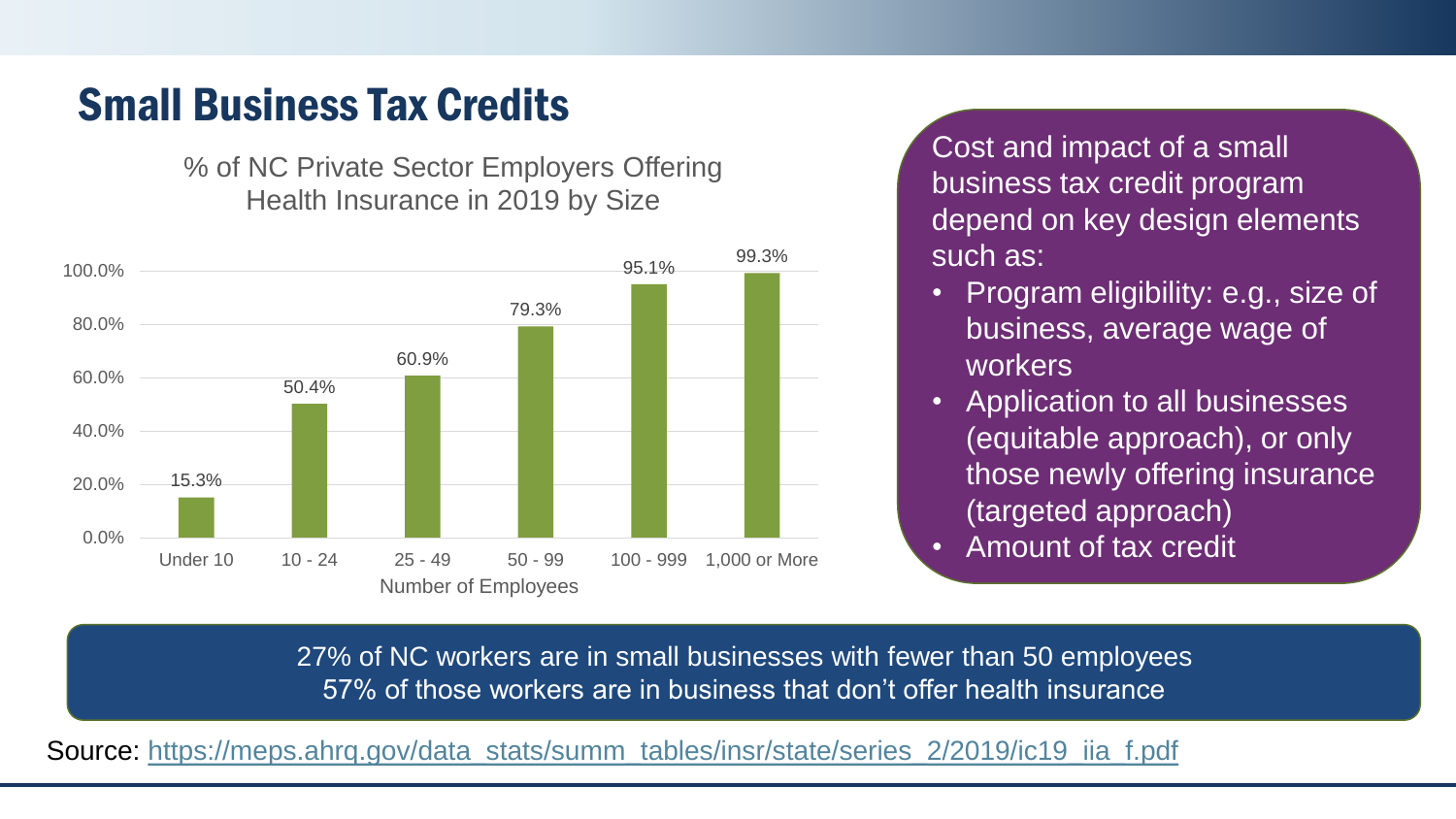#### Small Business Tax Credits

% of NC Private Sector Employers Offering Health Insurance in 2019 by Size



Cost and impact of a small business tax credit program depend on key design elements such as:

- Program eligibility: e.g., size of business, average wage of workers
- Application to all businesses (equitable approach), or only those newly offering insurance (targeted approach) • Amount of tax credit

27% of NC workers are in small businesses with fewer than 50 employees 57% of those workers are in business that don't offer health insurance

Source: [https://meps.ahrq.gov/data\\_stats/summ\\_tables/insr/state/series\\_2/2019/ic19\\_iia\\_f.pdf](https://meps.ahrq.gov/data_stats/summ_tables/insr/state/series_2/2019/ic19_iia_f.pdf)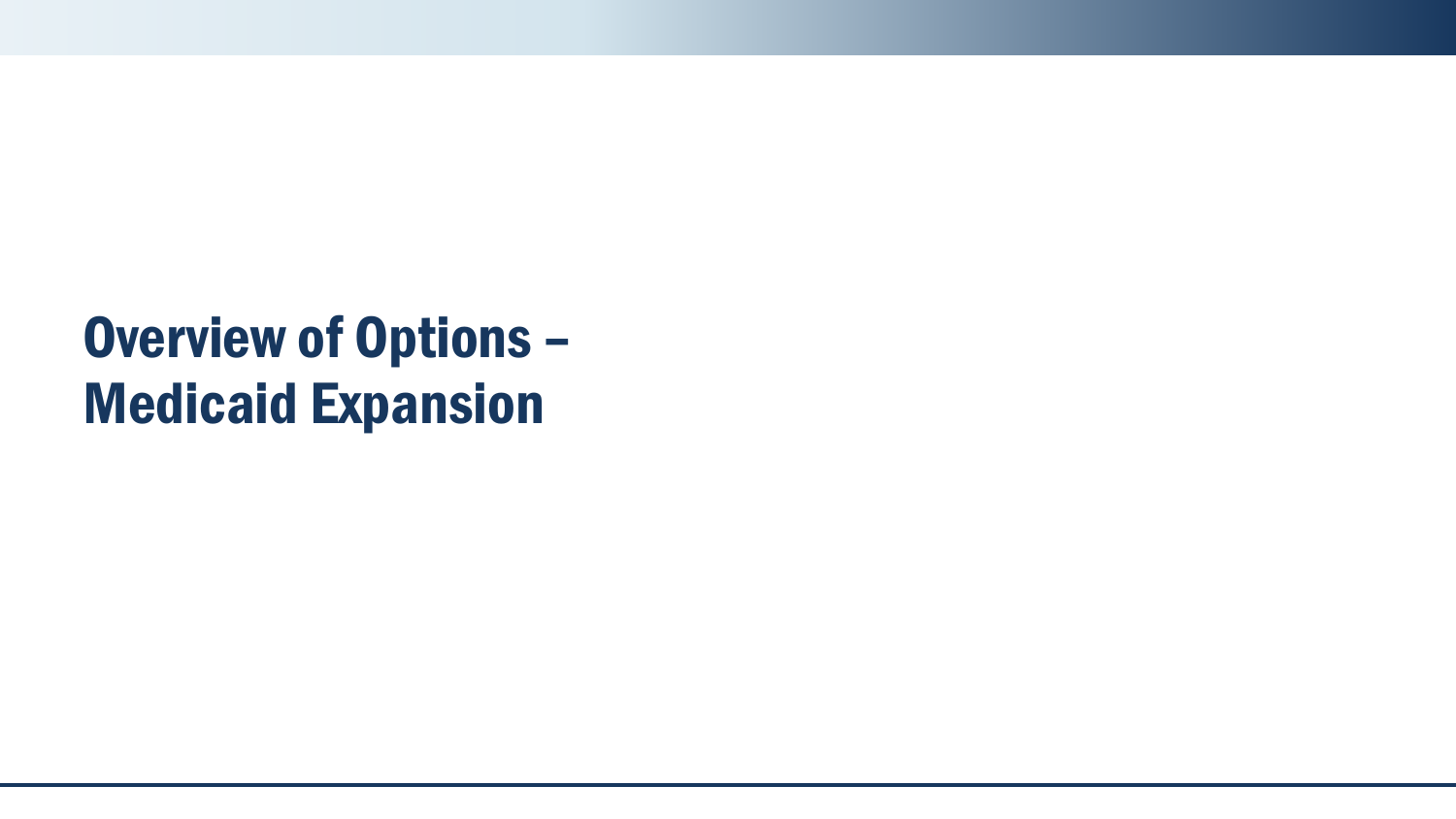# Overview of Options – Medicaid Expansion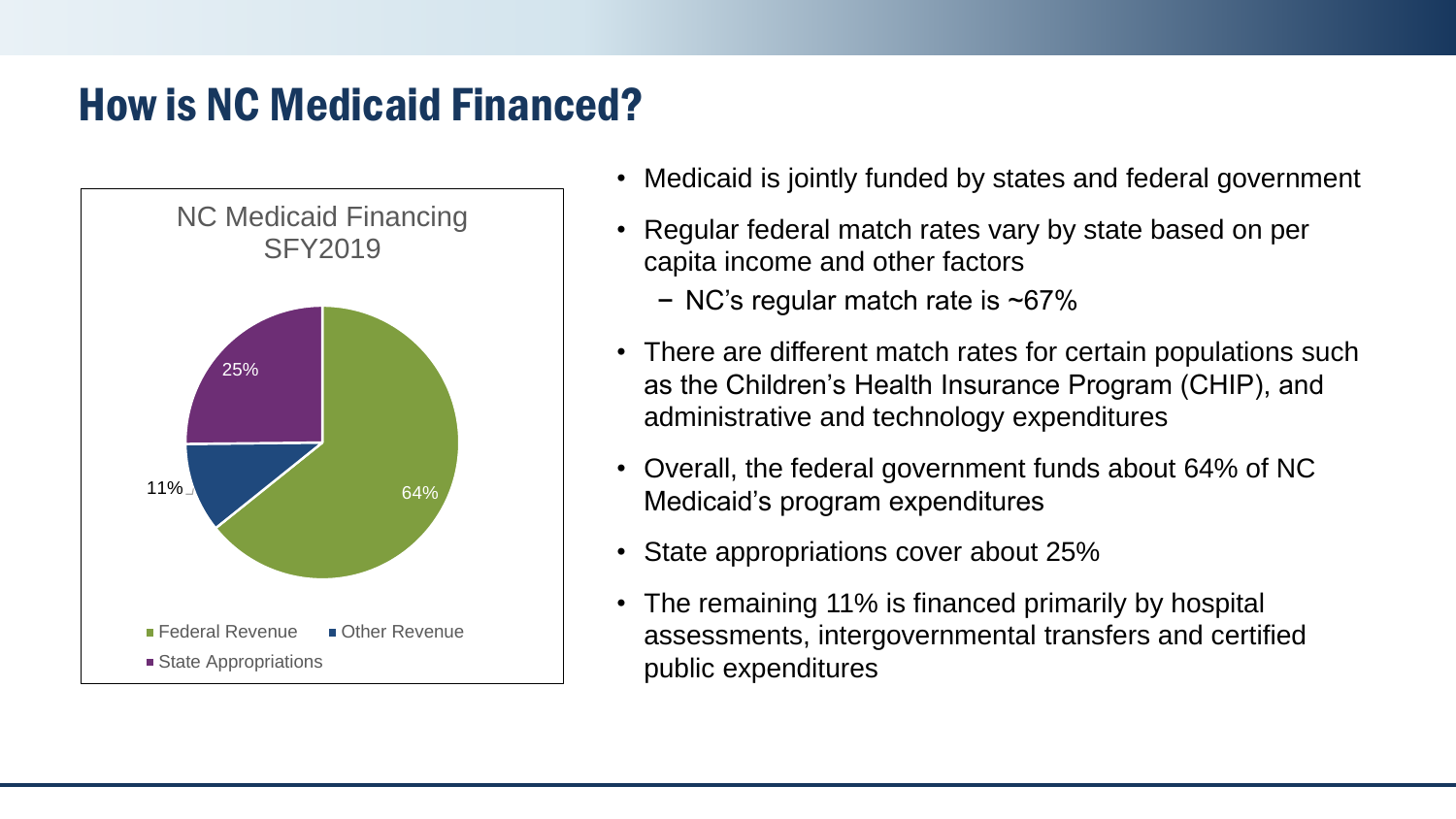#### How is NC Medicaid Financed?



- Medicaid is jointly funded by states and federal government
- Regular federal match rates vary by state based on per capita income and other factors
	- − NC's regular match rate is ~67%
- There are different match rates for certain populations such as the Children's Health Insurance Program (CHIP), and administrative and technology expenditures
- Overall, the federal government funds about 64% of NC Medicaid's program expenditures
- State appropriations cover about 25%
- The remaining 11% is financed primarily by hospital assessments, intergovernmental transfers and certified public expenditures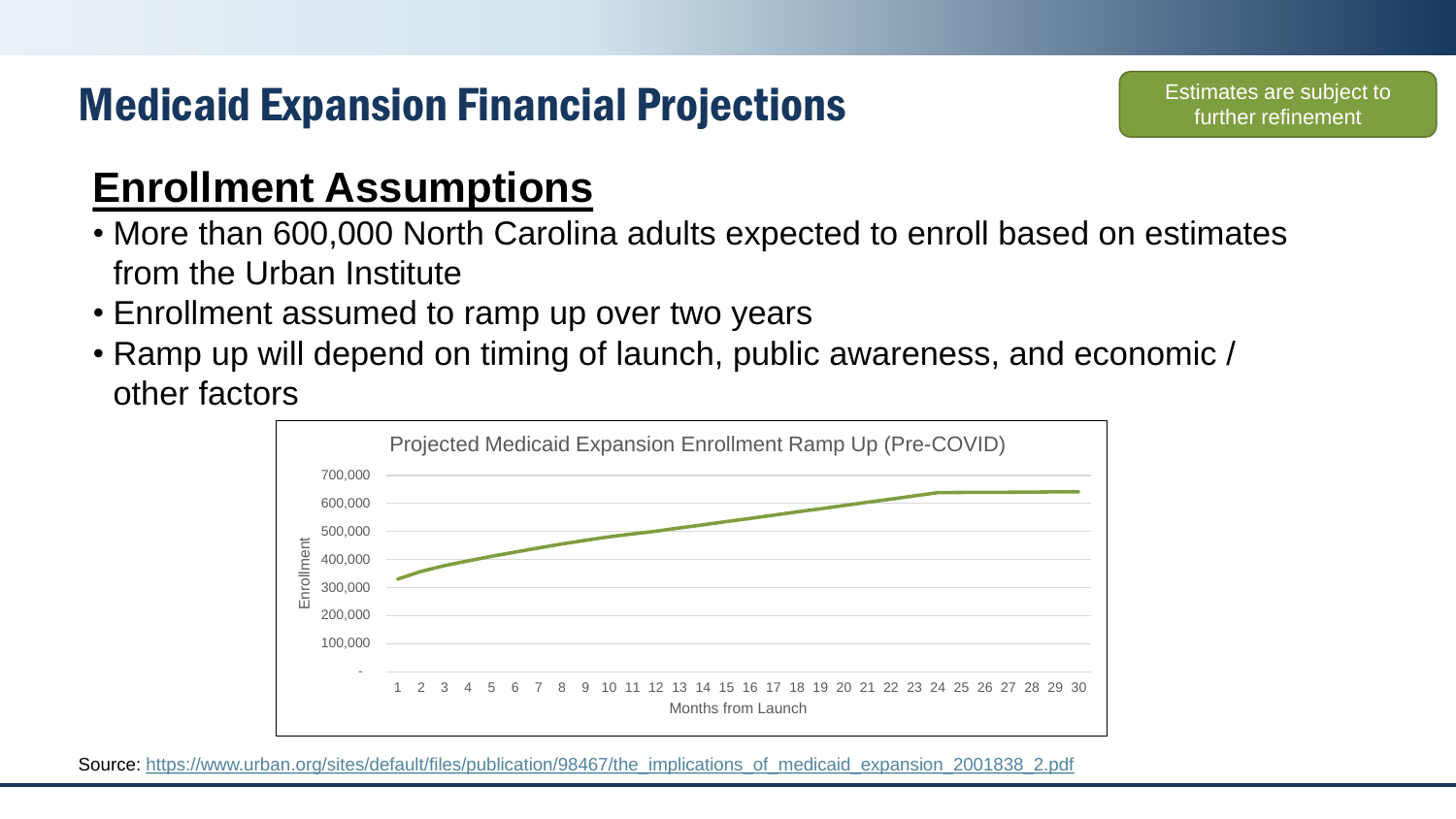### Medicaid Expansion Financial Projections

#### **Enrollment Assumptions**

- More than 600,000 North Carolina adults expected to enroll based on estimates from the Urban Institute
- Enrollment assumed to ramp up over two years
- Ramp up will depend on timing of launch, public awareness, and economic / other factors



Source: https://www.urban.org/sites/default/files/publication/98467/the implications of medicaid expansion 2001838 2.pdf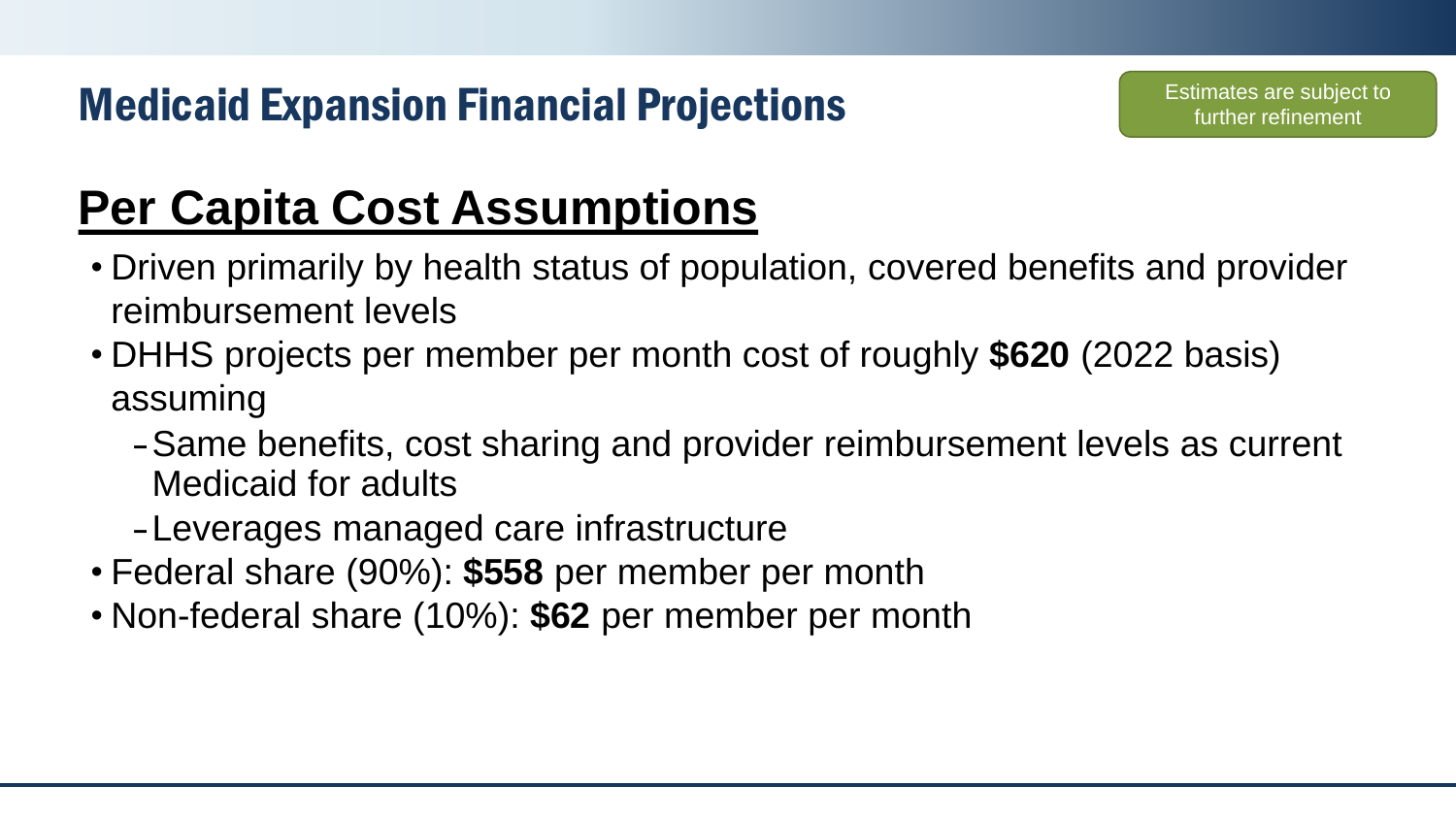### Medicaid Expansion Financial Projections

## **Per Capita Cost Assumptions**

- Driven primarily by health status of population, covered benefits and provider reimbursement levels
- DHHS projects per member per month cost of roughly **\$620** (2022 basis) assuming
	- –Same benefits, cost sharing and provider reimbursement levels as current Medicaid for adults
	- –Leverages managed care infrastructure
- Federal share (90%): **\$558** per member per month
- Non-federal share (10%): **\$62** per member per month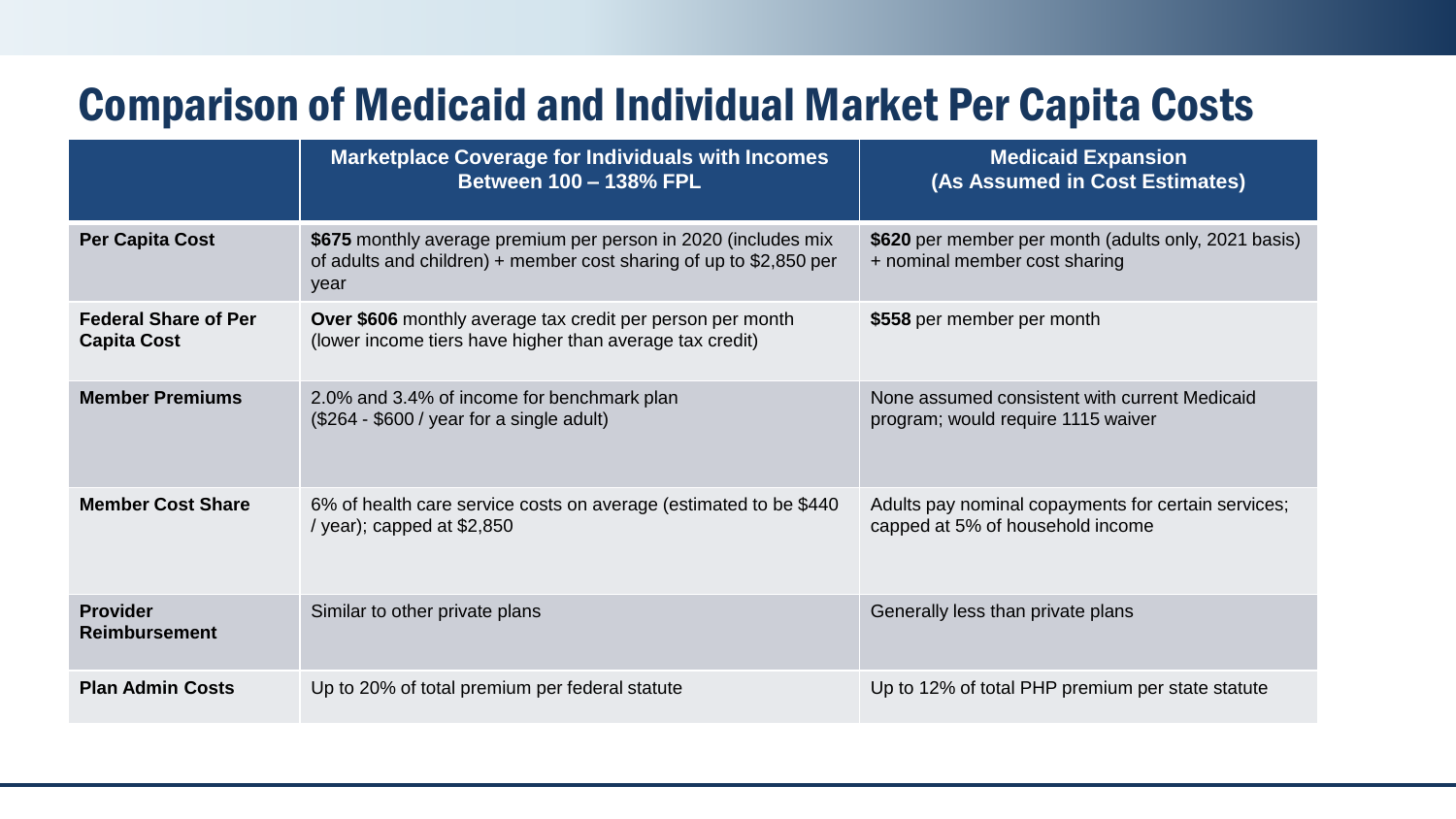### Comparison of Medicaid and Individual Market Per Capita Costs

|                                                   | <b>Marketplace Coverage for Individuals with Incomes</b><br><b>Between 100 - 138% FPL</b>                                                     | <b>Medicaid Expansion</b><br>(As Assumed in Cost Estimates)                             |
|---------------------------------------------------|-----------------------------------------------------------------------------------------------------------------------------------------------|-----------------------------------------------------------------------------------------|
| <b>Per Capita Cost</b>                            | \$675 monthly average premium per person in 2020 (includes mix<br>of adults and children) + member cost sharing of up to $$2,850$ per<br>year | \$620 per member per month (adults only, 2021 basis)<br>+ nominal member cost sharing   |
| <b>Federal Share of Per</b><br><b>Capita Cost</b> | Over \$606 monthly average tax credit per person per month<br>(lower income tiers have higher than average tax credit)                        | \$558 per member per month                                                              |
| <b>Member Premiums</b>                            | 2.0% and 3.4% of income for benchmark plan<br>$($264 - $600 / year for a single adult)$                                                       | None assumed consistent with current Medicaid<br>program; would require 1115 waiver     |
| <b>Member Cost Share</b>                          | 6% of health care service costs on average (estimated to be \$440<br>/ year); capped at $$2,850$                                              | Adults pay nominal copayments for certain services;<br>capped at 5% of household income |
| <b>Provider</b><br><b>Reimbursement</b>           | Similar to other private plans                                                                                                                | Generally less than private plans                                                       |
| <b>Plan Admin Costs</b>                           | Up to 20% of total premium per federal statute                                                                                                | Up to 12% of total PHP premium per state statute                                        |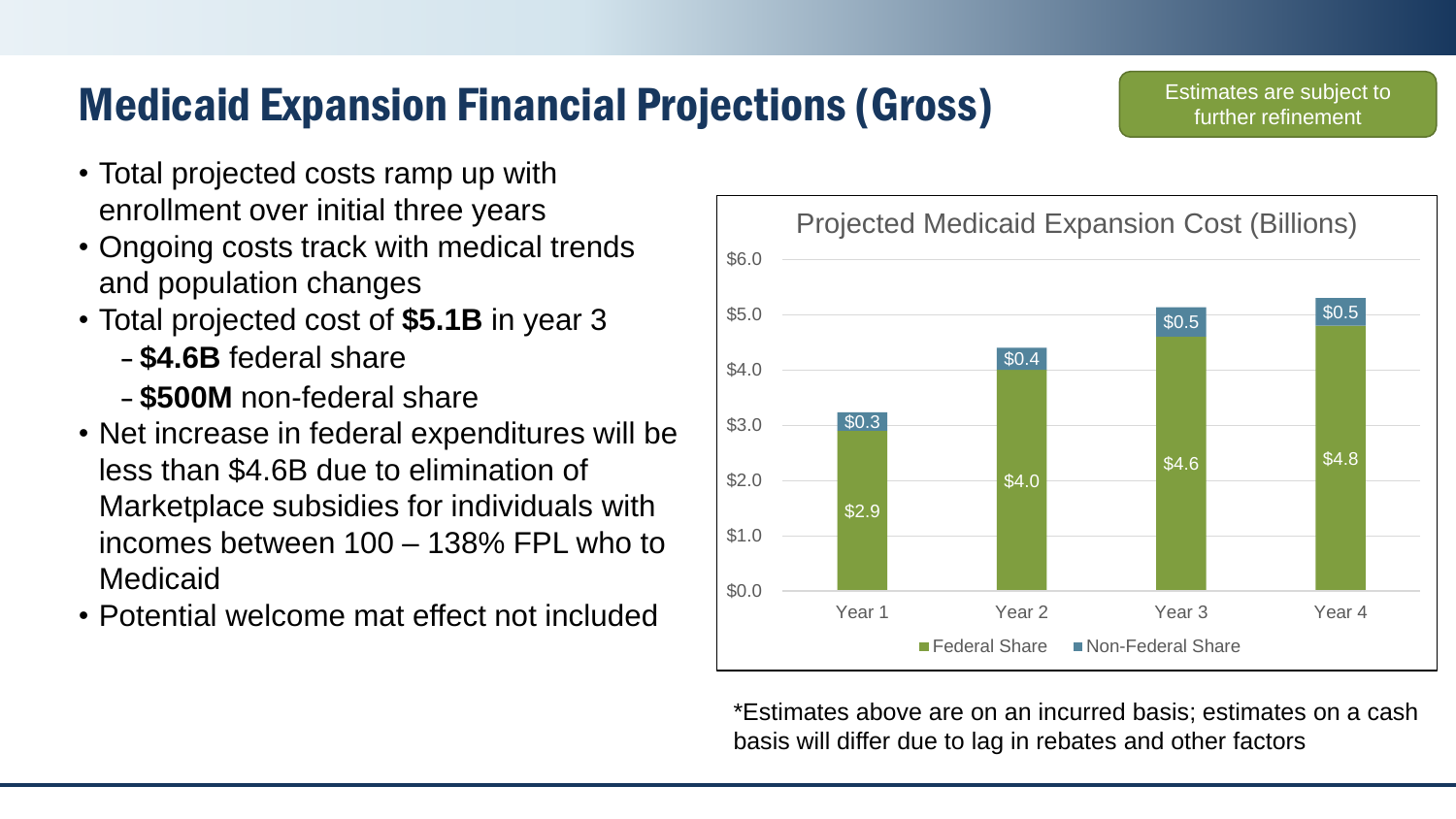### Medicaid Expansion Financial Projections (Gross)

- Total projected costs ramp up with enrollment over initial three years
- Ongoing costs track with medical trends and population changes
- Total projected cost of **\$5.1B** in year 3
	- **\$4.6B** federal share
	- **\$500M** non-federal share
- Net increase in federal expenditures will be less than \$4.6B due to elimination of Marketplace subsidies for individuals with incomes between 100 – 138% FPL who to Medicaid
- Potential welcome mat effect not included



\*Estimates above are on an incurred basis; estimates on a cash basis will differ due to lag in rebates and other factors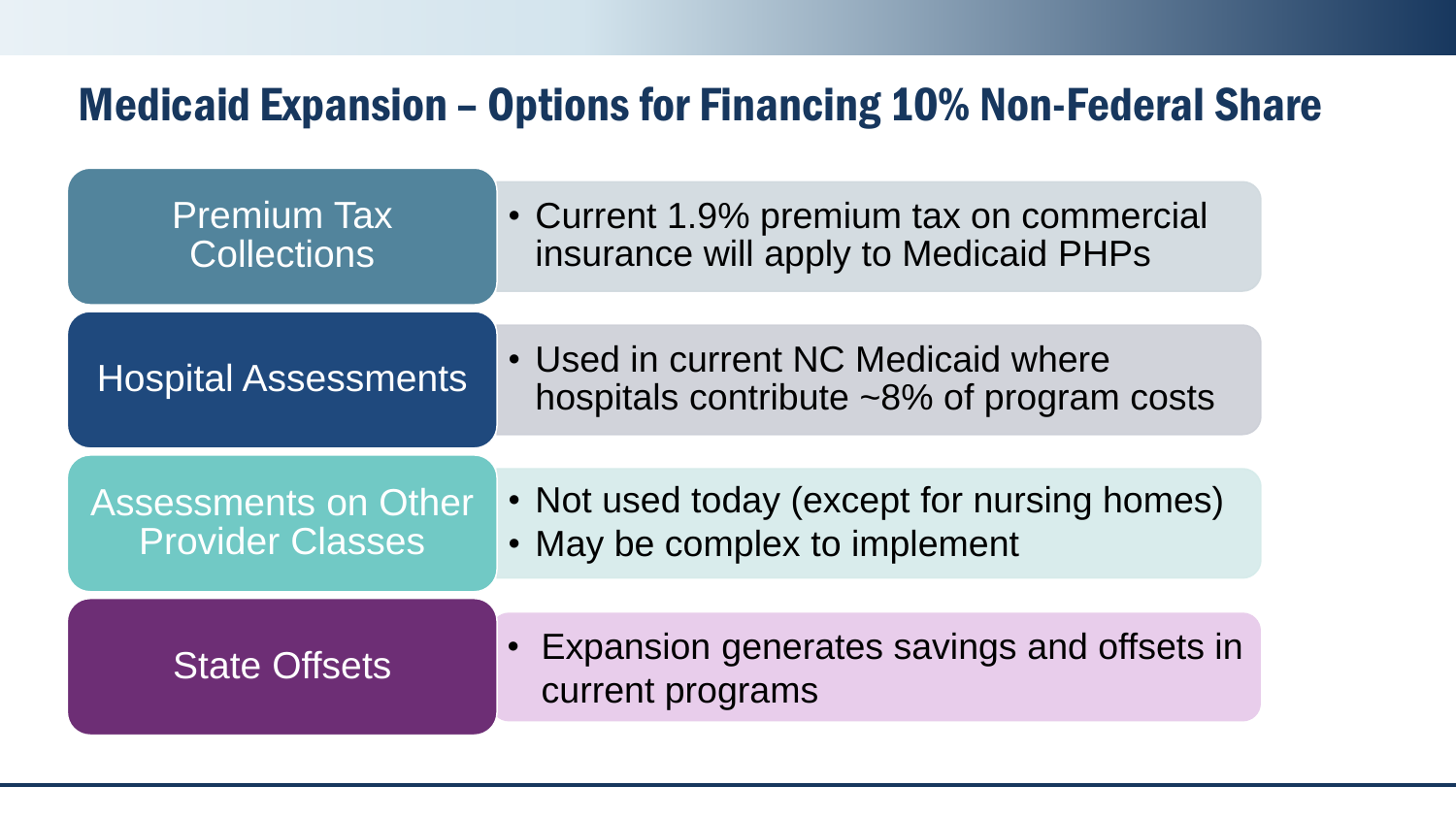#### Medicaid Expansion – Options for Financing 10% Non-Federal Share

| <b>Premium Tax</b><br><b>Collections</b>               | • Current 1.9% premium tax on commercial<br>insurance will apply to Medicaid PHPs |
|--------------------------------------------------------|-----------------------------------------------------------------------------------|
|                                                        |                                                                                   |
| <b>Hospital Assessments</b>                            | • Used in current NC Medicaid where<br>hospitals contribute ~8% of program costs  |
|                                                        |                                                                                   |
| <b>Assessments on Other</b><br><b>Provider Classes</b> | • Not used today (except for nursing homes)<br>• May be complex to implement      |
|                                                        |                                                                                   |
| <b>State Offsets</b>                                   | • Expansion generates savings and offsets in<br>current programs                  |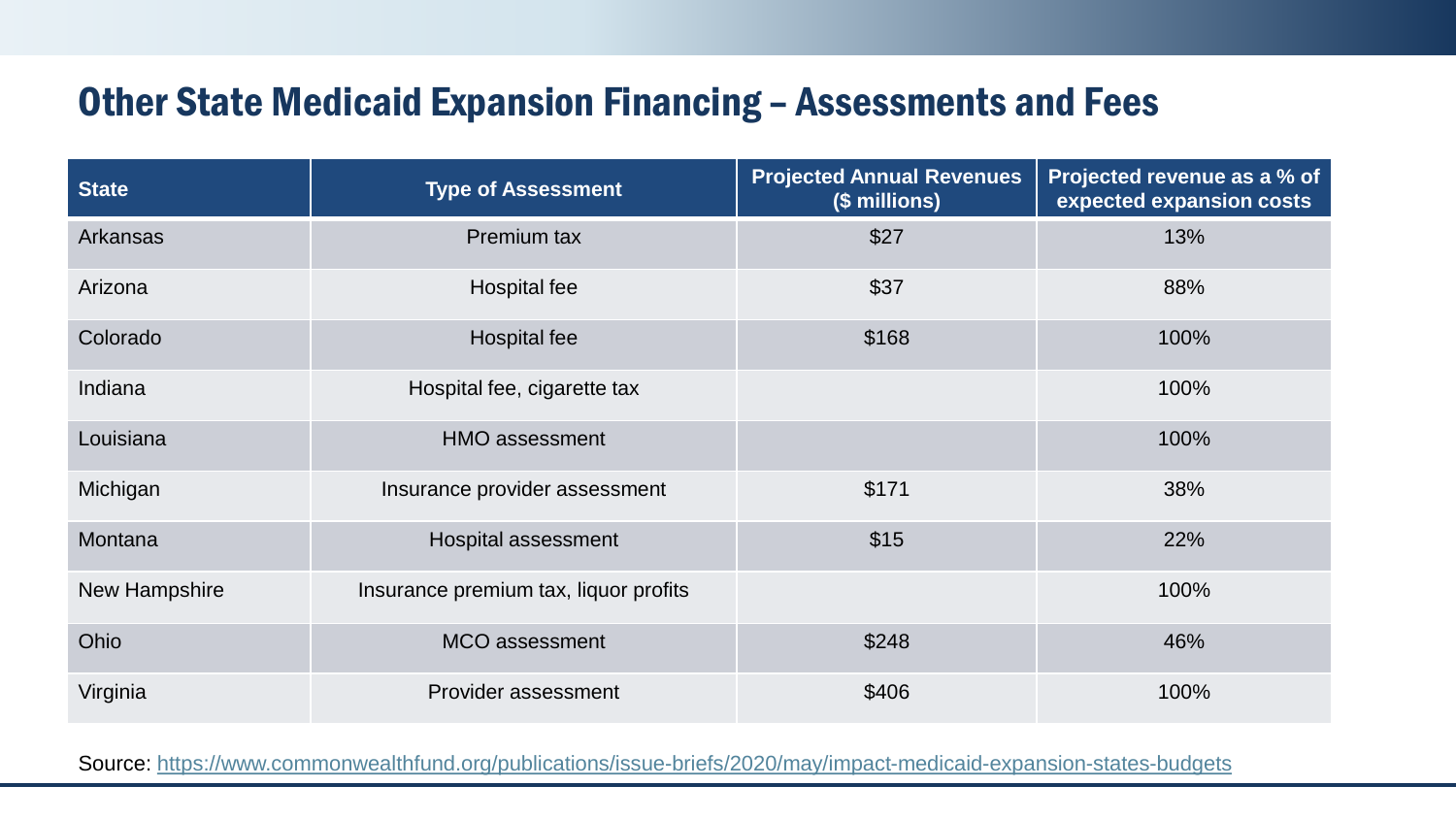#### Other State Medicaid Expansion Financing – Assessments and Fees

| <b>State</b>    | <b>Type of Assessment</b>             | <b>Projected Annual Revenues</b><br>(\$ millions) | Projected revenue as a % of<br>expected expansion costs |
|-----------------|---------------------------------------|---------------------------------------------------|---------------------------------------------------------|
| <b>Arkansas</b> | Premium tax                           | \$27                                              | 13%                                                     |
| Arizona         | Hospital fee                          | \$37                                              | 88%                                                     |
| Colorado        | Hospital fee                          | \$168                                             | 100%                                                    |
| Indiana         | Hospital fee, cigarette tax           |                                                   | 100%                                                    |
| Louisiana       | <b>HMO assessment</b>                 |                                                   | 100%                                                    |
| Michigan        | Insurance provider assessment         | \$171                                             | 38%                                                     |
| Montana         | Hospital assessment                   | \$15                                              | 22%                                                     |
| New Hampshire   | Insurance premium tax, liquor profits |                                                   | 100%                                                    |
| Ohio            | <b>MCO</b> assessment                 | \$248                                             | 46%                                                     |
| Virginia        | Provider assessment                   | \$406                                             | 100%                                                    |

Source:<https://www.commonwealthfund.org/publications/issue-briefs/2020/may/impact-medicaid-expansion-states-budgets>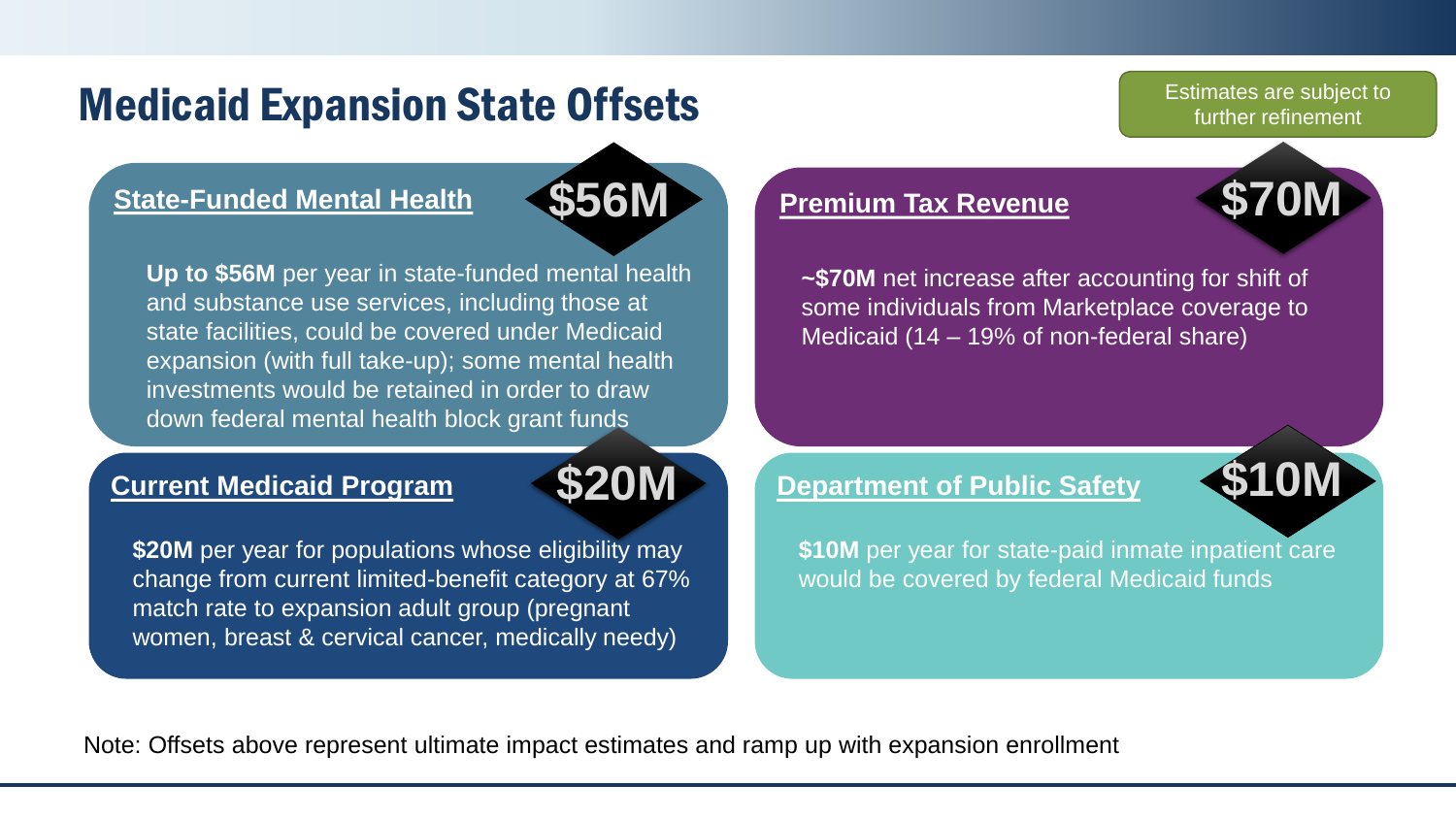#### Medicaid Expansion State Offsets

#### **State-Funded Mental Health**



**Up to \$56M** per year in state-funded mental health and substance use services, including those at state facilities, could be covered under Medicaid expansion (with full take-up); some mental health investments would be retained in order to draw down federal mental health block grant funds

#### **Current Medicaid Program**



**\$20M** per year for populations whose eligibility may change from current limited-benefit category at 67% match rate to expansion adult group (pregnant women, breast & cervical cancer, medically needy)

#### **Premium Tax Revenue**

**~\$70M** net increase after accounting for shift of some individuals from Marketplace coverage to Medicaid (14 – 19% of non-federal share)

**\$70M**

Estimates are subject to further refinement

### **Department of Public Safety \$20M \$10M**



Note: Offsets above represent ultimate impact estimates and ramp up with expansion enrollment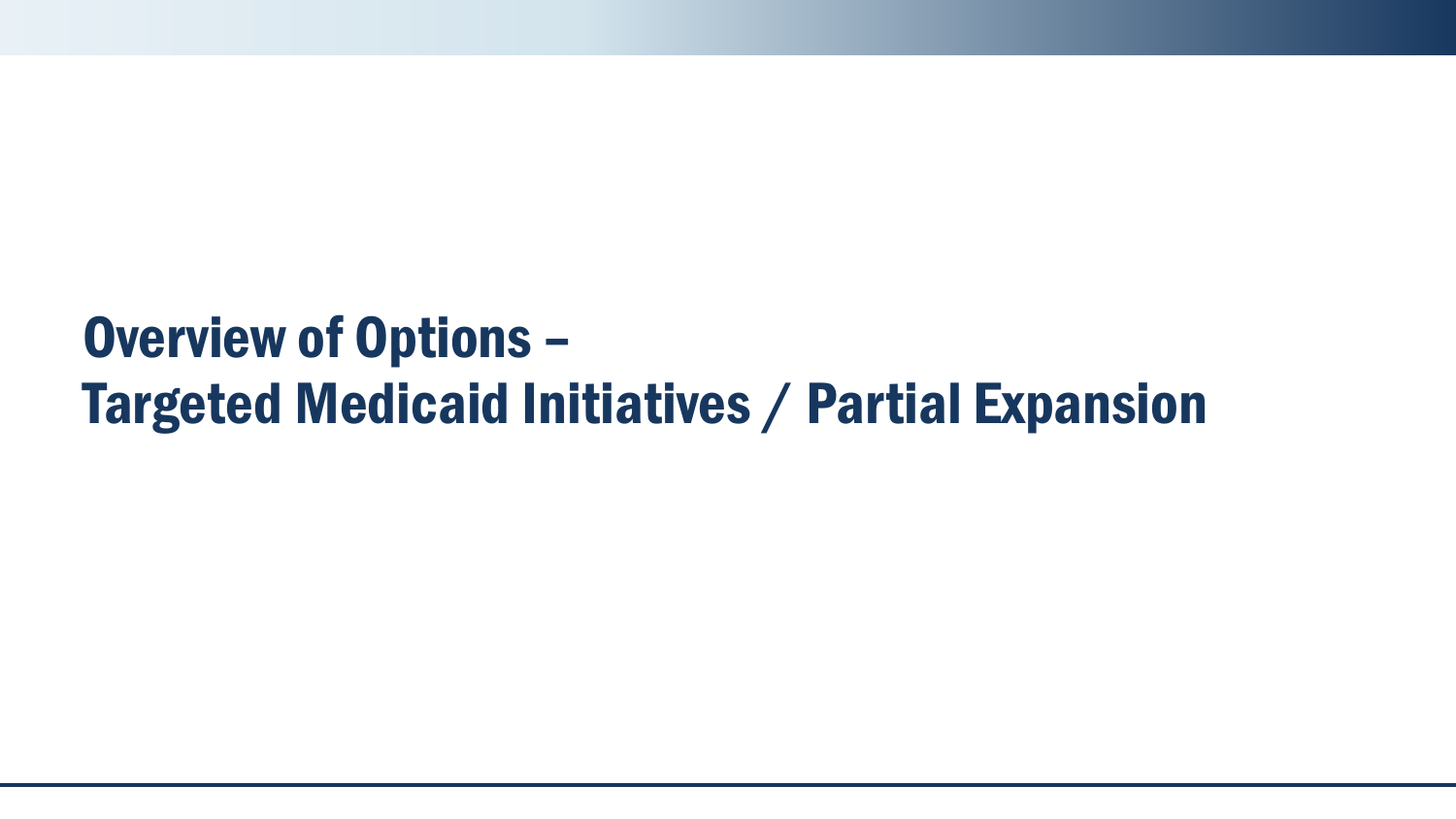# Overview of Options – Targeted Medicaid Initiatives / Partial Expansion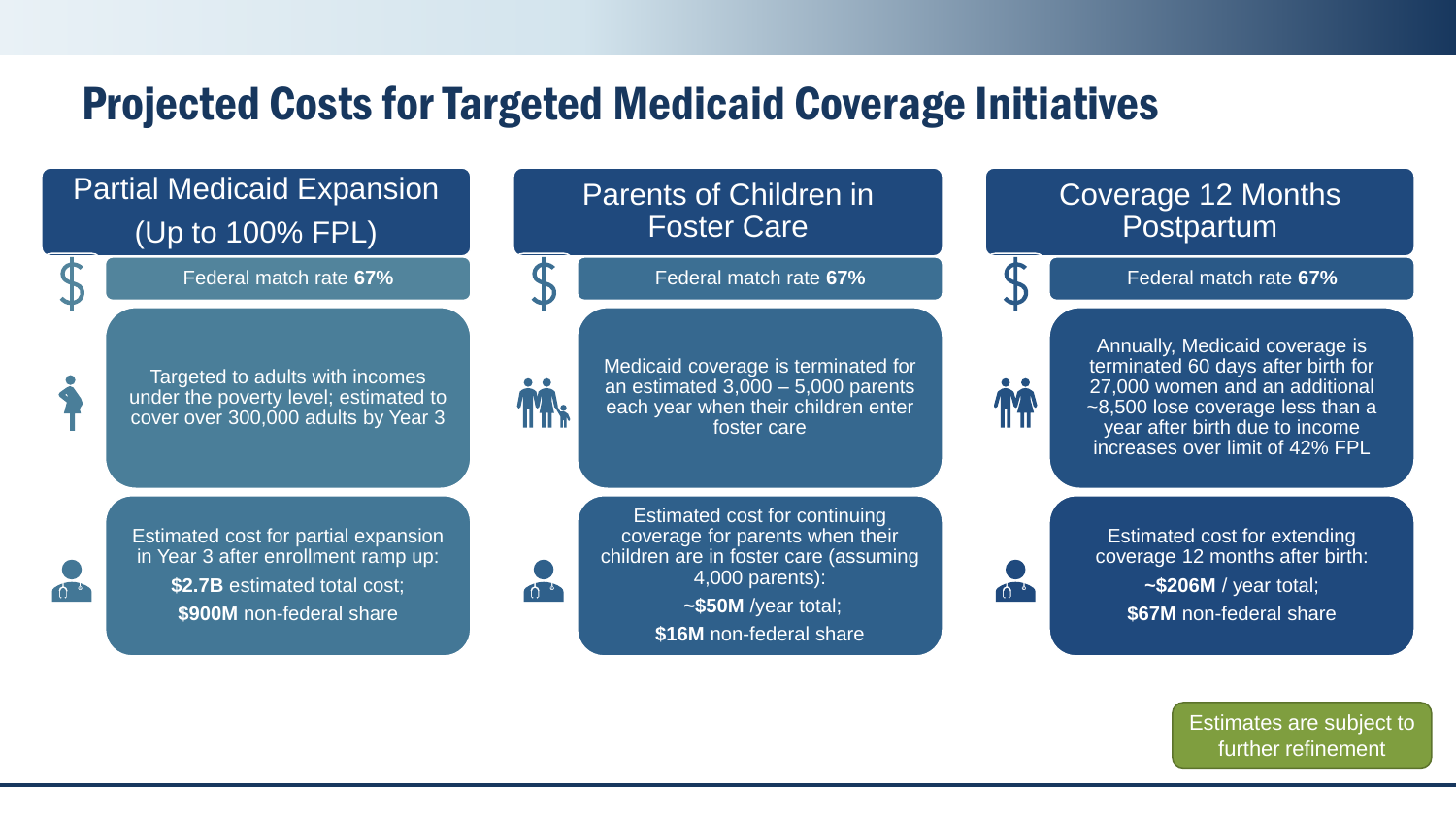#### Projected Costs for Targeted Medicaid Coverage Initiatives

#### Partial Medicaid Expansion (Up to 100% FPL)

Federal match rate **67%**

Targeted to adults with incomes under the poverty level; estimated to cover over 300,000 adults by Year 3

#### Parents of Children in Foster Care

Federal match rate **67%**



 $\bf D$ 

Medicaid coverage is terminated for an estimated 3,000 – 5,000 parents each year when their children enter foster care

Estimated cost for partial expansion in Year 3 after enrollment ramp up: **\$2.7B** estimated total cost; **\$900M** non-federal share

 $\bigcap$ 

Estimated cost for continuing coverage for parents when their children are in foster care (assuming 4,000 parents): **~\$50M** /year total;

**\$16M** non-federal share

#### Coverage 12 Months **Postpartum**



Federal match rate **67%**



 $\bigcap_{i=1}^{\infty}$ 

Annually, Medicaid coverage is terminated 60 days after birth for 27,000 women and an additional ~8,500 lose coverage less than a year after birth due to income increases over limit of 42% FPL

Estimated cost for extending coverage 12 months after birth: **~\$206M** / year total; **\$67M** non-federal share

> Estimates are subject to further refinement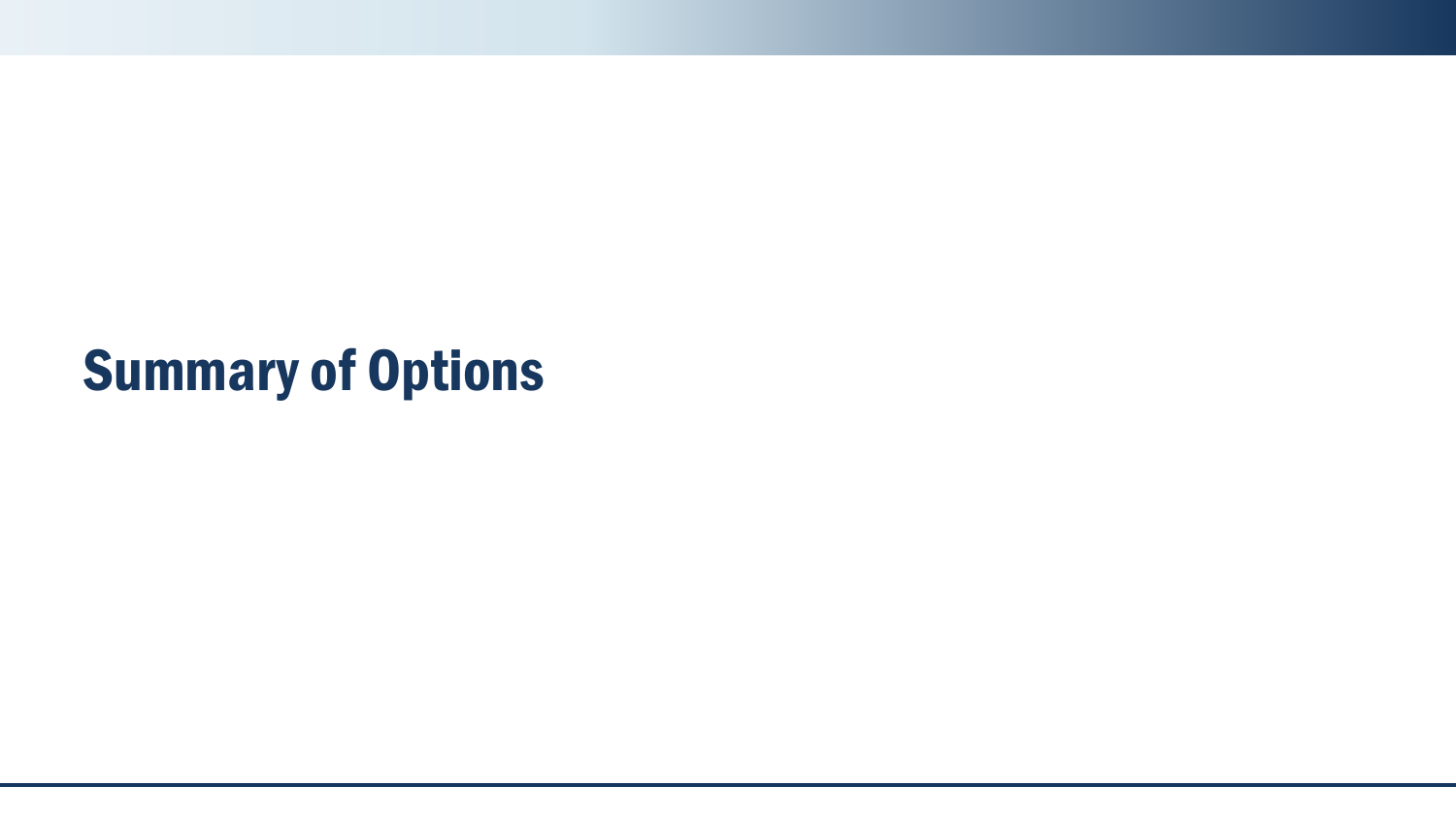# Summary of Options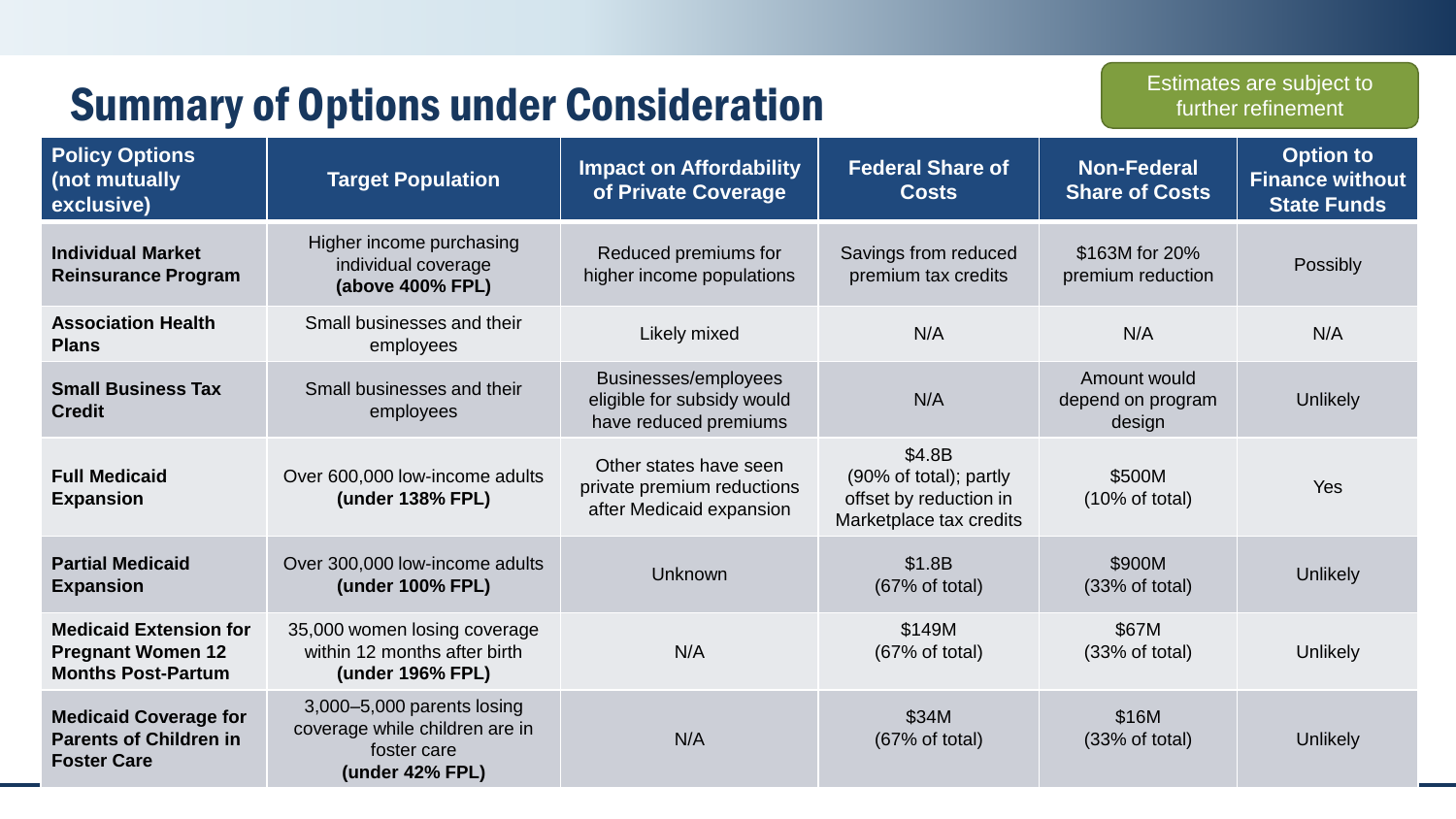|                                                                                        | <b>Summary of Options under Consideration</b>                                                  |                                                                                  |                                                                                       |                                             | Estimates are subject to<br>further refinement                   |
|----------------------------------------------------------------------------------------|------------------------------------------------------------------------------------------------|----------------------------------------------------------------------------------|---------------------------------------------------------------------------------------|---------------------------------------------|------------------------------------------------------------------|
| <b>Policy Options</b><br>(not mutually<br>exclusive)                                   | <b>Target Population</b>                                                                       | <b>Impact on Affordability</b><br>of Private Coverage                            | <b>Federal Share of</b><br><b>Costs</b>                                               | <b>Non-Federal</b><br><b>Share of Costs</b> | <b>Option to</b><br><b>Finance without</b><br><b>State Funds</b> |
| <b>Individual Market</b><br><b>Reinsurance Program</b>                                 | Higher income purchasing<br>individual coverage<br>(above 400% FPL)                            | Reduced premiums for<br>higher income populations                                | Savings from reduced<br>premium tax credits                                           | \$163M for 20%<br>premium reduction         | Possibly                                                         |
| <b>Association Health</b><br><b>Plans</b>                                              | Small businesses and their<br>employees                                                        | Likely mixed                                                                     | N/A                                                                                   | N/A                                         | N/A                                                              |
| <b>Small Business Tax</b><br><b>Credit</b>                                             | Small businesses and their<br>employees                                                        | Businesses/employees<br>eligible for subsidy would<br>have reduced premiums      | N/A                                                                                   | Amount would<br>depend on program<br>design | Unlikely                                                         |
| <b>Full Medicaid</b><br><b>Expansion</b>                                               | Over 600,000 low-income adults<br>(under 138% FPL)                                             | Other states have seen<br>private premium reductions<br>after Medicaid expansion | \$4.8B<br>(90% of total); partly<br>offset by reduction in<br>Marketplace tax credits | \$500M<br>$(10\% \text{ of total})$         | Yes                                                              |
| <b>Partial Medicaid</b><br><b>Expansion</b>                                            | Over 300,000 low-income adults<br>(under 100% FPL)                                             | Unknown                                                                          | \$1.8B<br>(67% of total)                                                              | \$900M<br>(33% of total)                    | Unlikely                                                         |
| <b>Medicaid Extension for</b><br><b>Pregnant Women 12</b><br><b>Months Post-Partum</b> | 35,000 women losing coverage<br>within 12 months after birth<br>(under 196% FPL)               | N/A                                                                              | \$149M<br>(67% of total)                                                              | \$67M<br>(33% of total)                     | <b>Unlikely</b>                                                  |
| <b>Medicaid Coverage for</b><br><b>Parents of Children in</b><br><b>Foster Care</b>    | 3,000-5,000 parents losing<br>coverage while children are in<br>foster care<br>(under 42% FPL) | N/A                                                                              | \$34M<br>(67% of total)                                                               | \$16M<br>(33% of total)                     | Unlikely                                                         |

the contract of the contract of the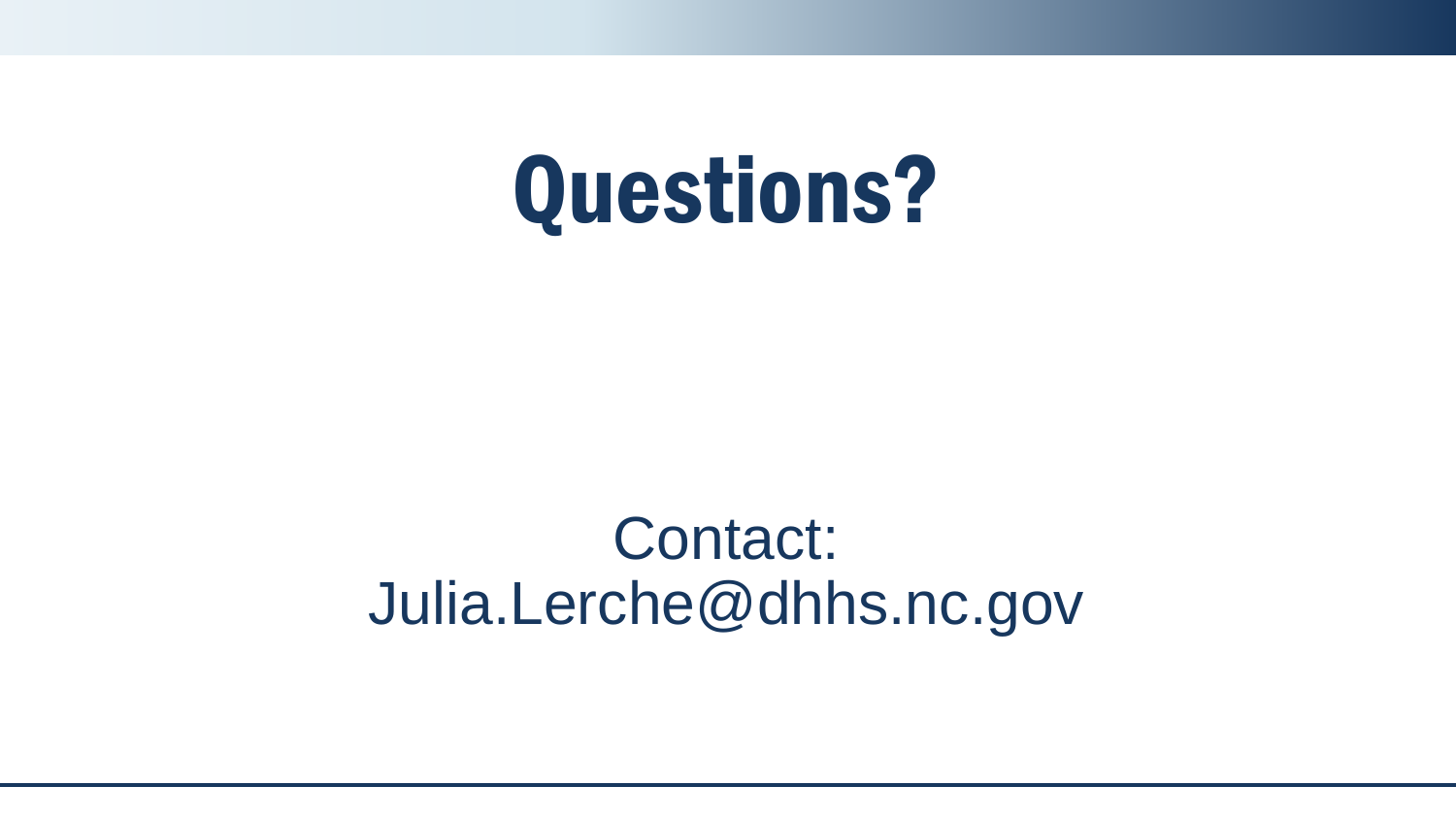# Questions?

# Contact: Julia.Lerche@dhhs.nc.gov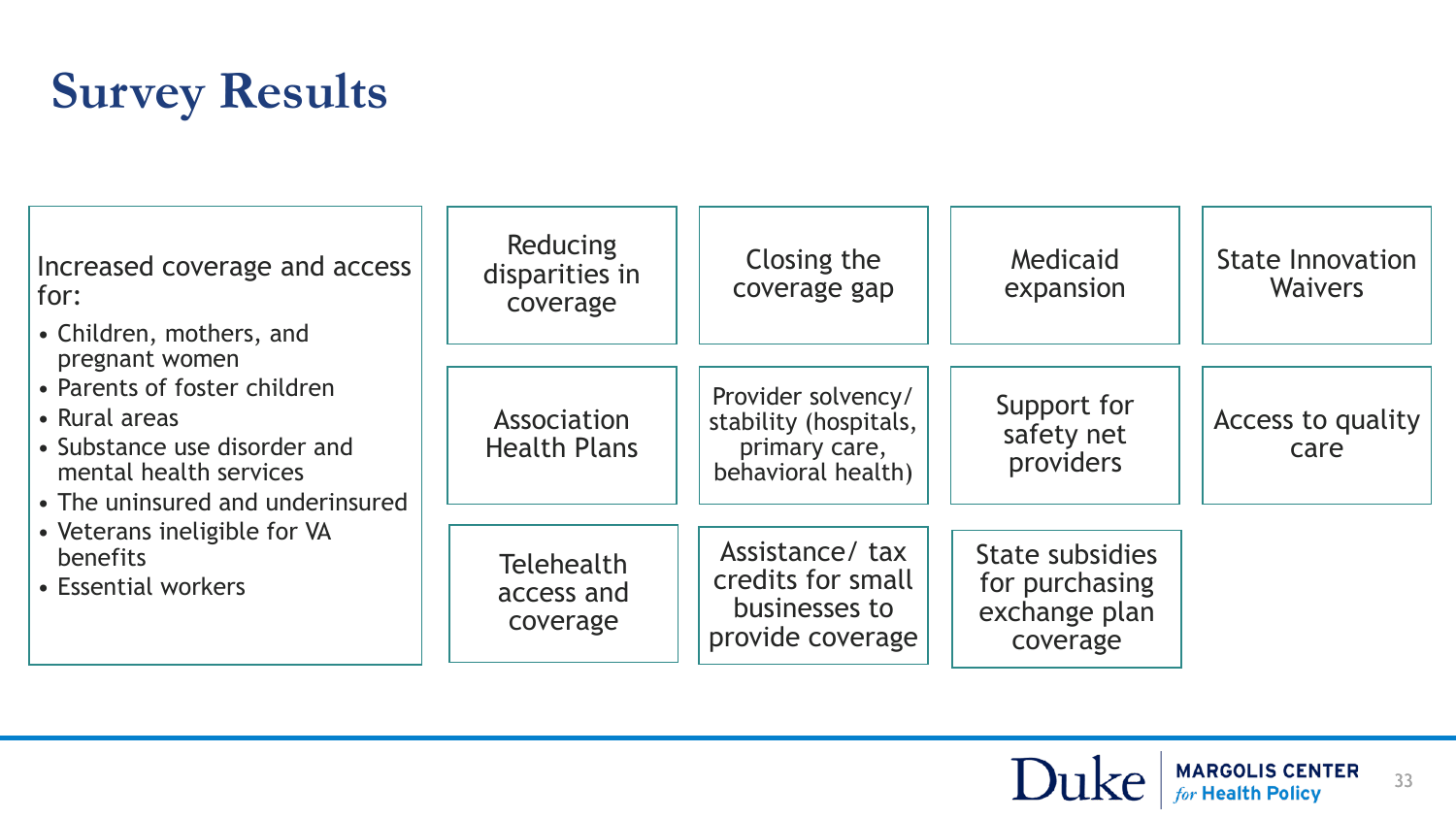# **Survey Results**

| Increased coverage and access<br>for:<br>• Children, mothers, and<br>pregnant women                                                                                                                            | <b>Reducing</b><br>disparities in<br>coverage | Closing the<br>coverage gap                                                        | Medicaid<br>expansion                                          | <b>State Innovation</b><br><b>Waivers</b> |
|----------------------------------------------------------------------------------------------------------------------------------------------------------------------------------------------------------------|-----------------------------------------------|------------------------------------------------------------------------------------|----------------------------------------------------------------|-------------------------------------------|
| • Parents of foster children<br>• Rural areas<br>• Substance use disorder and<br>mental health services<br>• The uninsured and underinsured<br>• Veterans ineligible for VA<br>benefits<br>• Essential workers | Association<br><b>Health Plans</b>            | Provider solvency/<br>stability (hospitals,<br>primary care,<br>behavioral health) | Support for<br>safety net<br>providers                         | Access to quality<br>care                 |
|                                                                                                                                                                                                                | <b>Telehealth</b><br>access and<br>coverage   | Assistance/ tax<br>credits for small<br>businesses to<br>provide coverage          | State subsidies<br>for purchasing<br>exchange plan<br>coverage |                                           |

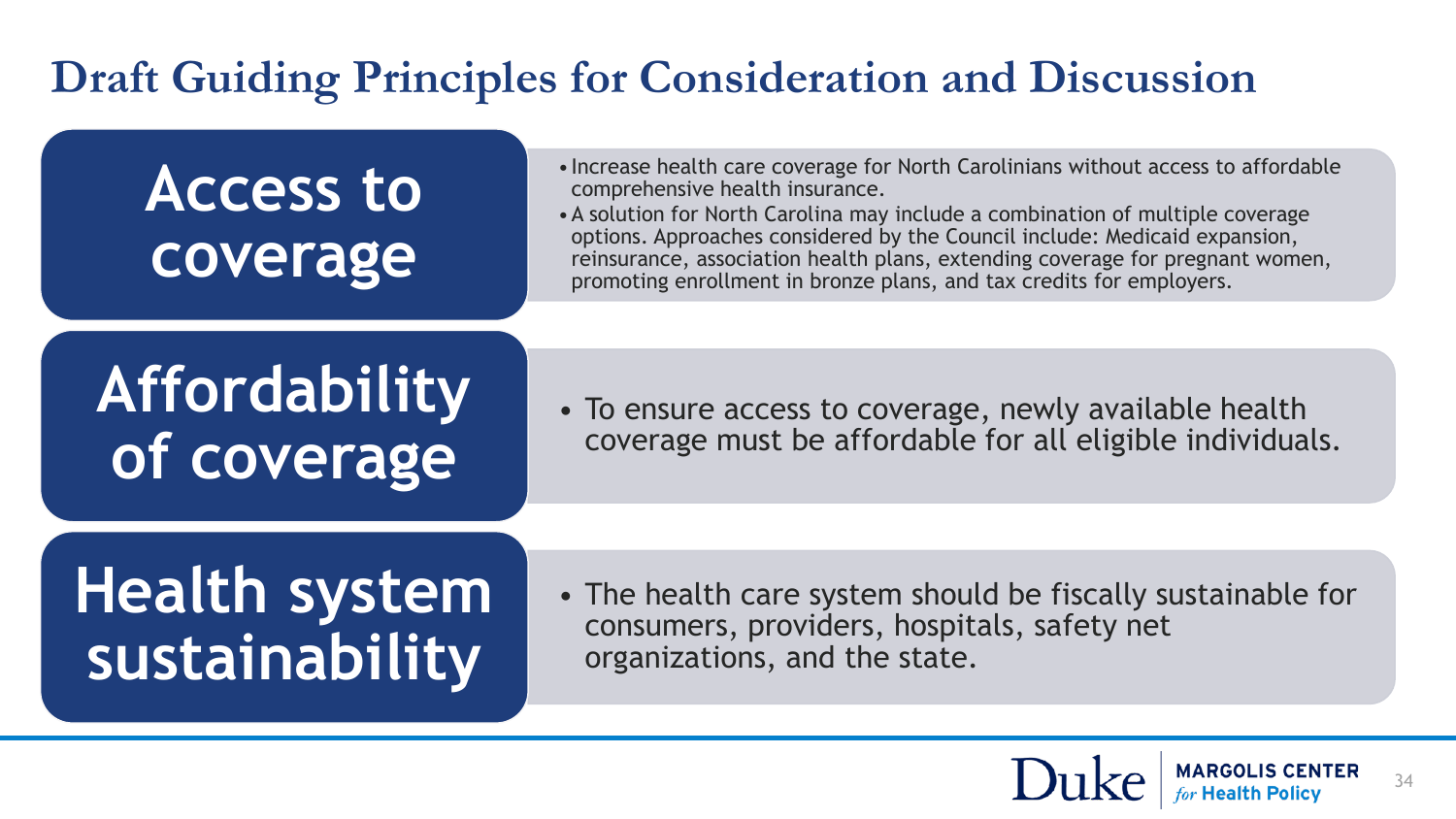### **Draft Guiding Principles for Consideration and Discussion**

# **Access to coverage**

- •Increase health care coverage for North Carolinians without access to affordable comprehensive health insurance.
- •A solution for North Carolina may include a combination of multiple coverage options. Approaches considered by the Council include: Medicaid expansion, reinsurance, association health plans, extending coverage for pregnant women, promoting enrollment in bronze plans, and tax credits for employers.

# **Affordability of coverage**

• To ensure access to coverage, newly available health coverage must be affordable for all eligible individuals.

# **Health system sustainability**

• The health care system should be fiscally sustainable for consumers, providers, hospitals, safety net organizations, and the state.

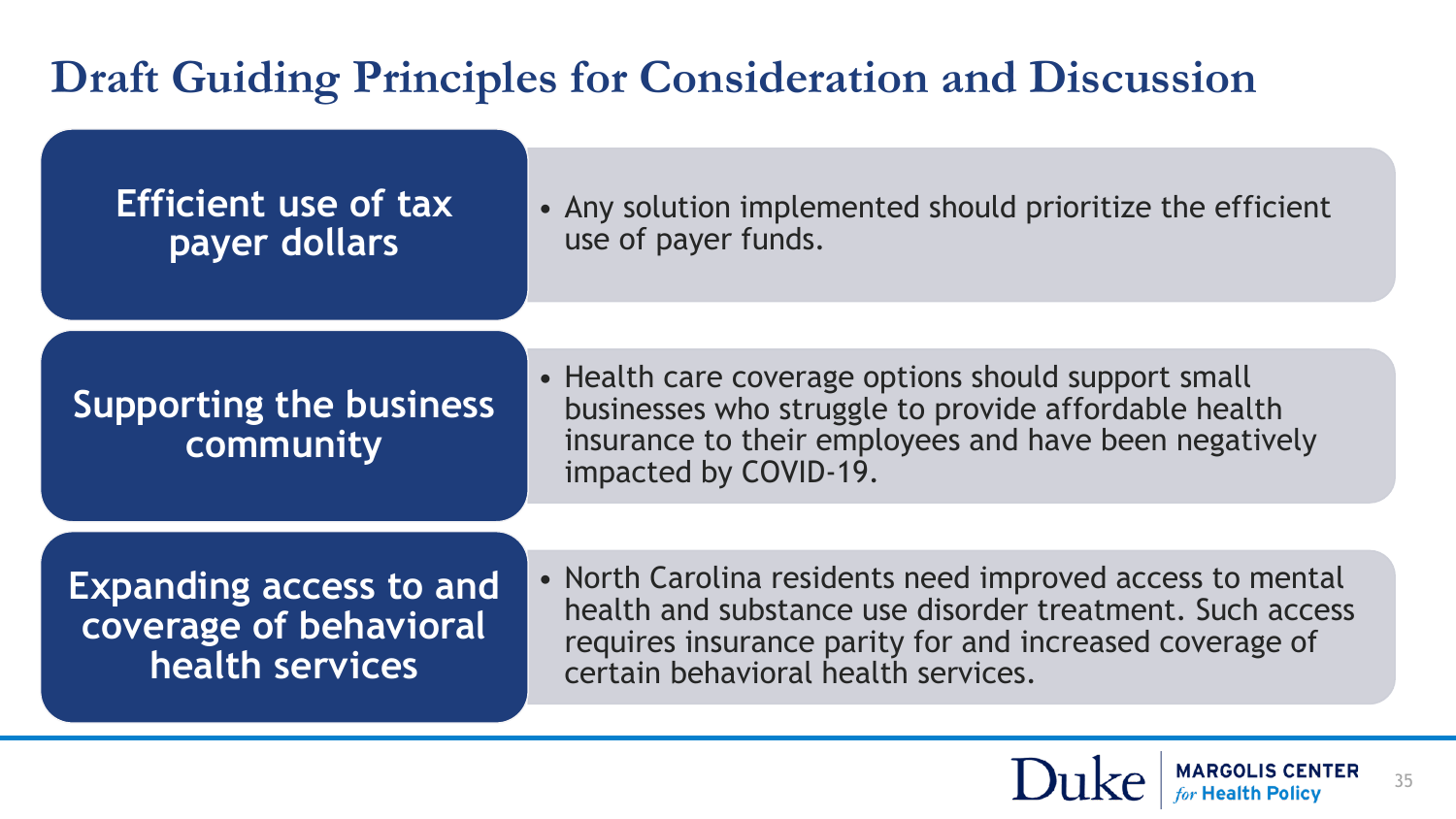### **Draft Guiding Principles for Consideration and Discussion**

| <b>Efficient use of tax</b> |
|-----------------------------|
| payer dollars               |

• Any solution implemented should prioritize the efficient use of payer funds.

#### **Supporting the business community**

• Health care coverage options should support small businesses who struggle to provide affordable health insurance to their employees and have been negatively impacted by COVID-19.

**Expanding access to and coverage of behavioral health services**

• North Carolina residents need improved access to mental health and substance use disorder treatment. Such access requires insurance parity for and increased coverage of certain behavioral health services.

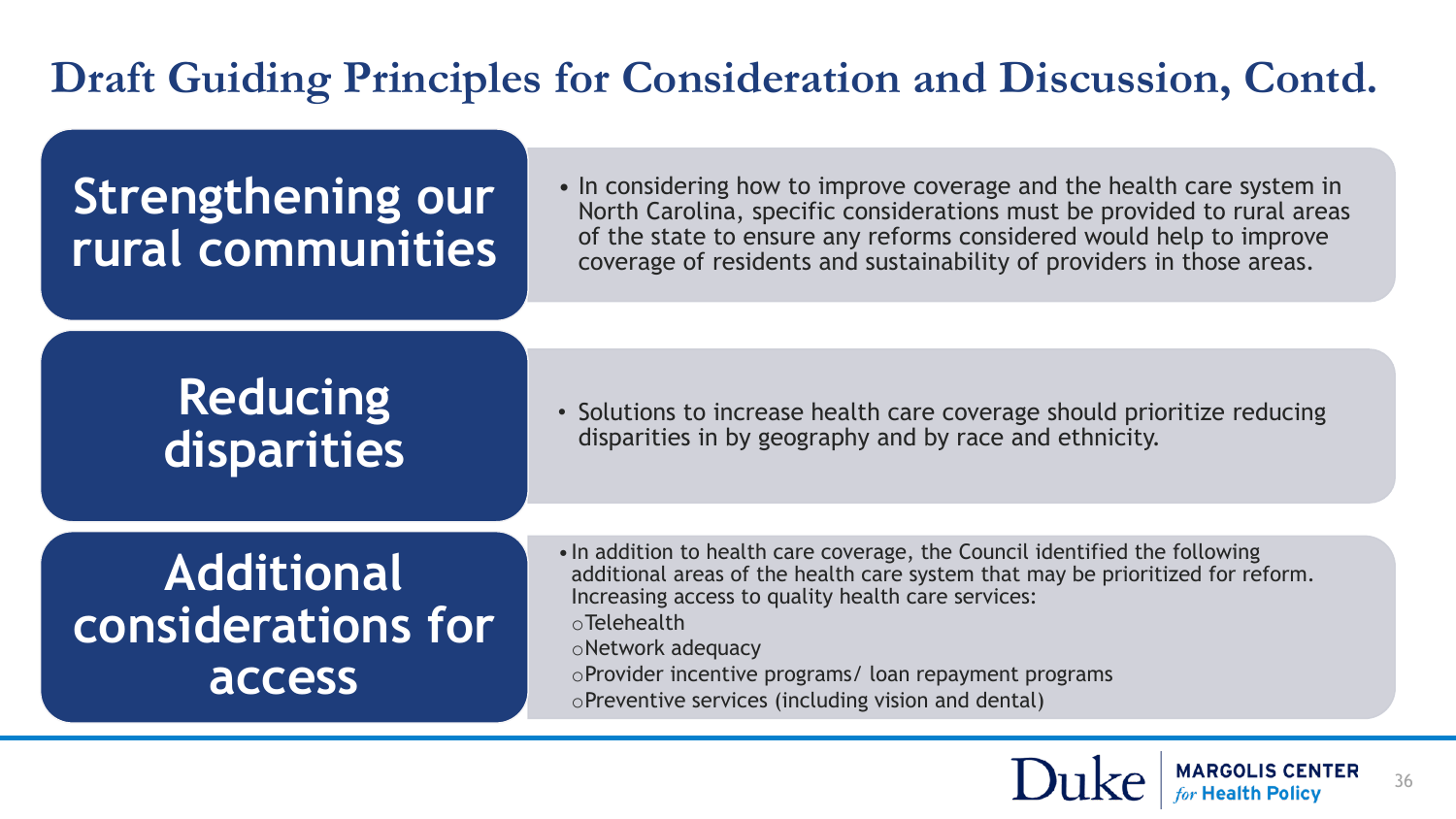#### **Draft Guiding Principles for Consideration and Discussion, Contd.**

### **Strengthening our rural communities**

• In considering how to improve coverage and the health care system in North Carolina, specific considerations must be provided to rural areas of the state to ensure any reforms considered would help to improve coverage of residents and sustainability of providers in those areas.

### **Reducing disparities**

• Solutions to increase health care coverage should prioritize reducing disparities in by geography and by race and ethnicity.

### **Additional considerations for access**

•In addition to health care coverage, the Council identified the following additional areas of the health care system that may be prioritized for reform. Increasing access to quality health care services:

oTelehealth

oNetwork adequacy

- oProvider incentive programs/ loan repayment programs
- oPreventive services (including vision and dental)

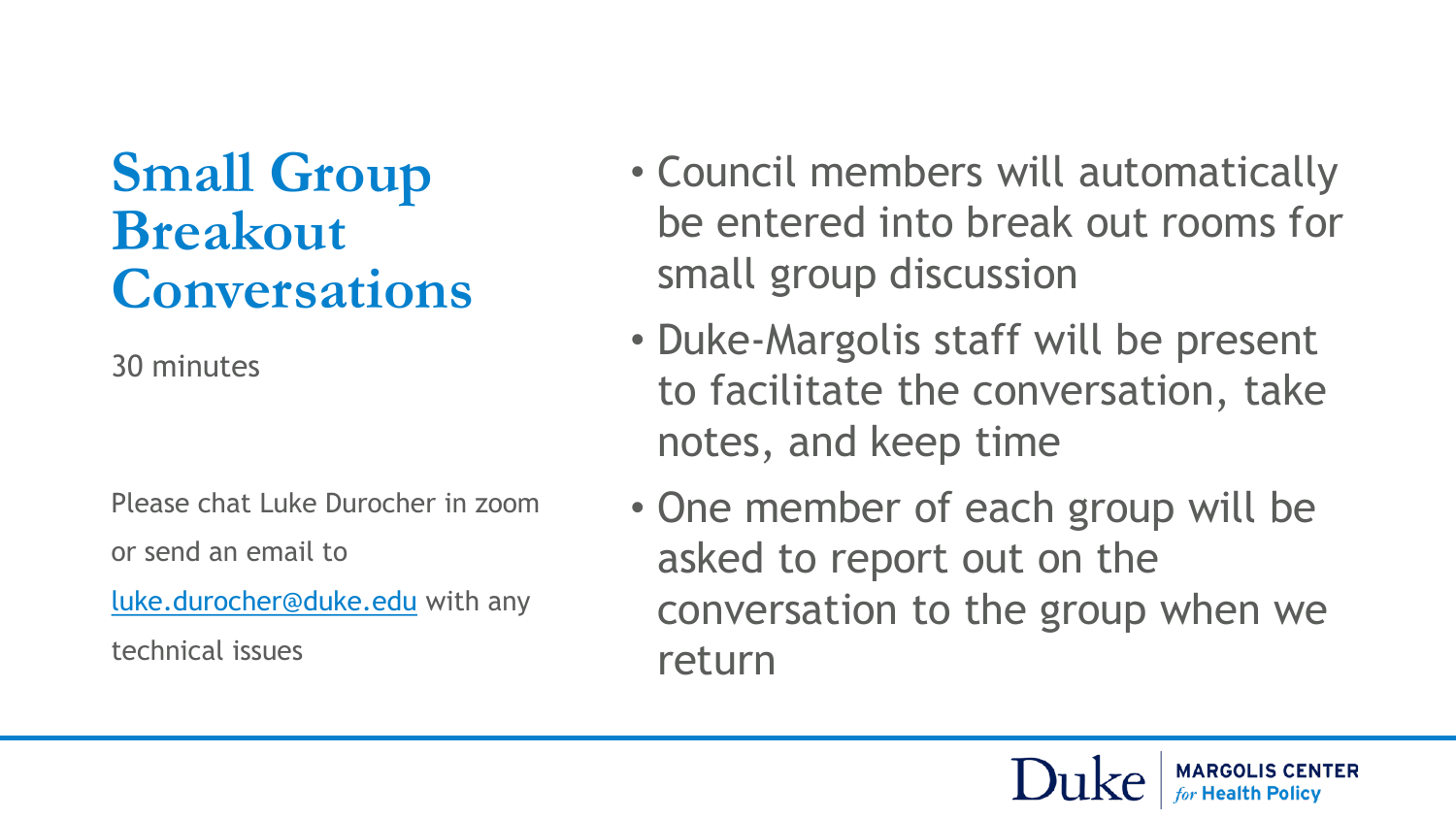# **Small Group Breakout Conversations**

30 minutes

Please chat Luke Durocher in zoom or send an email to

[luke.durocher@duke.edu](mailto:luke.durocher@duke.edu) with any

technical issues

- Council members will automatically be entered into break out rooms for small group discussion
- Duke-Margolis staff will be present to facilitate the conversation, take notes, and keep time
- One member of each group will be asked to report out on the conversation to the group when we return

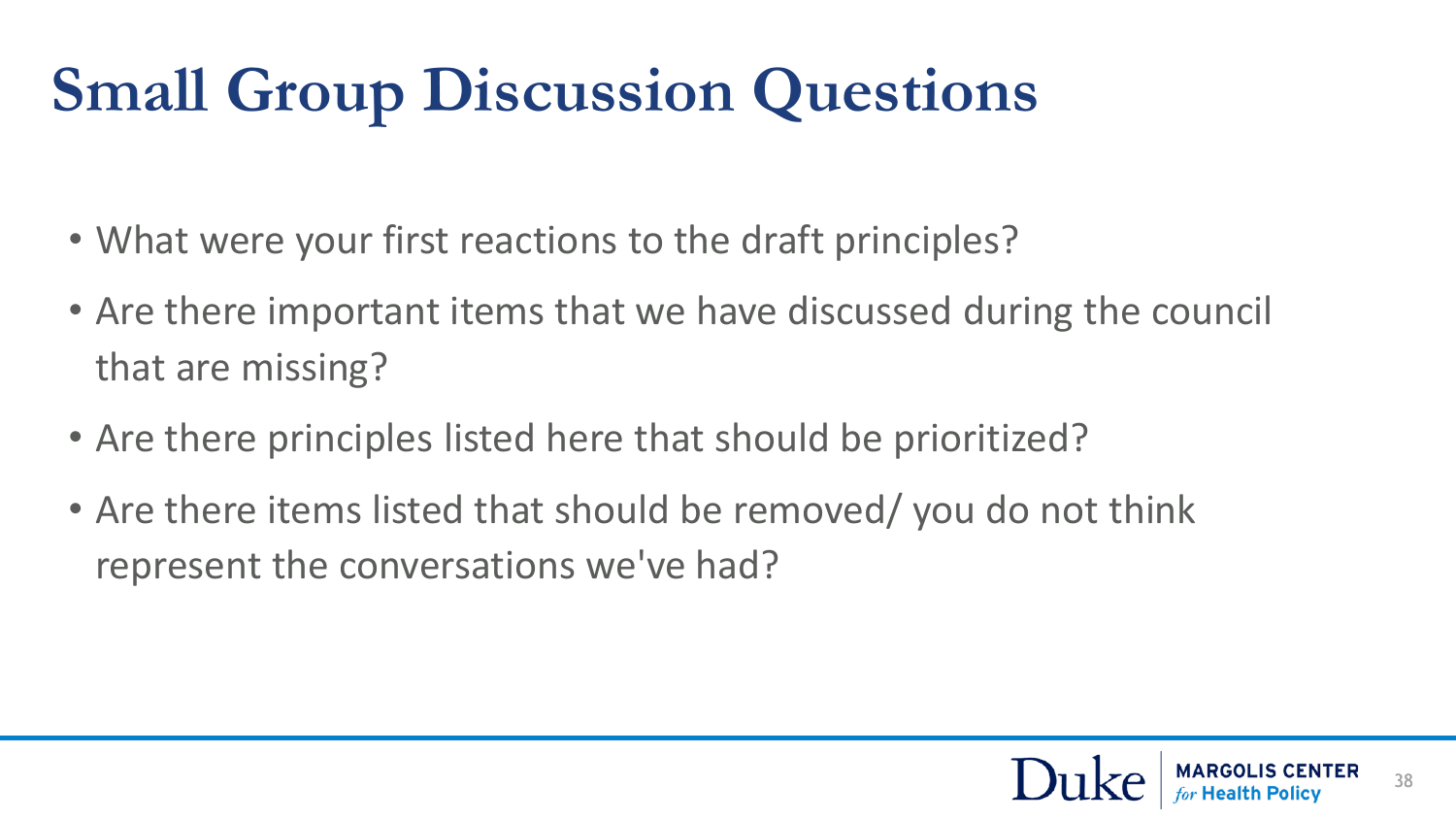# **Small Group Discussion Questions**

- What were your first reactions to the draft principles?
- Are there important items that we have discussed during the council that are missing?
- Are there principles listed here that should be prioritized?
- Are there items listed that should be removed/ you do not think represent the conversations we've had?